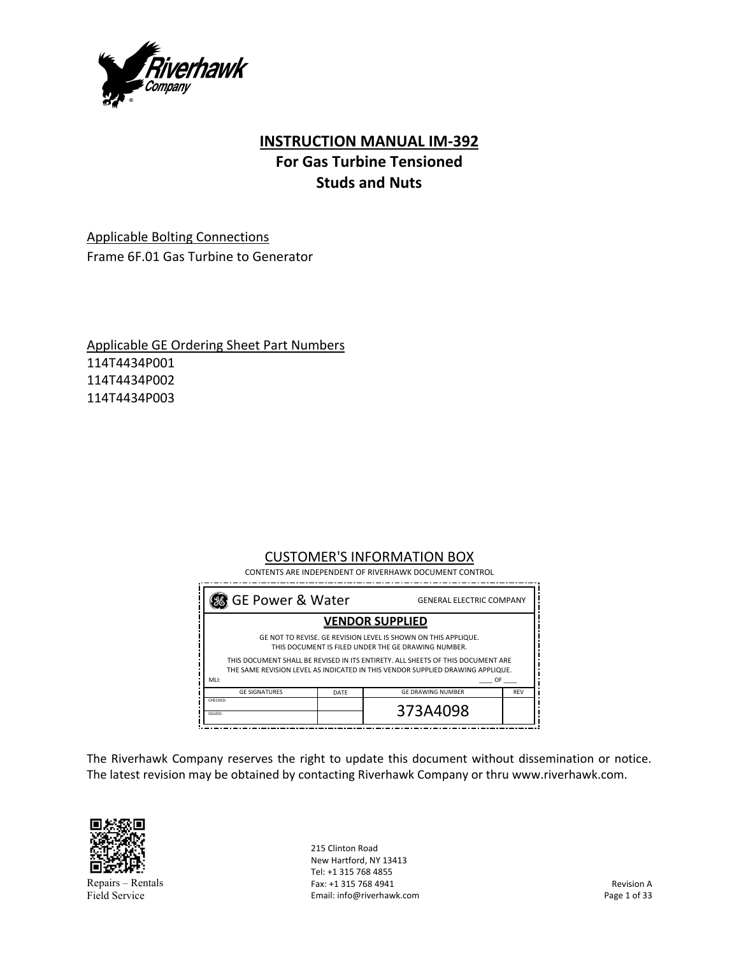

# **INSTRUCTION MANUAL IM‐392 For Gas Turbine Tensioned Studs and Nuts**

Applicable Bolting Connections Frame 6F.01 Gas Turbine to Generator

Applicable GE Ordering Sheet Part Numbers 114T4434P001 114T4434P002 114T4434P003

## CUSTOMER'S INFORMATION BOX

 CONTENTS ARE INDEPENDENT OF RIVERHAWK DOCUMENT CONTROL

| 38 GE Power & Water                                                                                                                                               |      | <b>GENERAL ELECTRIC COMPANY</b> |            |  |
|-------------------------------------------------------------------------------------------------------------------------------------------------------------------|------|---------------------------------|------------|--|
| <b>VENDOR SUPPLIED</b>                                                                                                                                            |      |                                 |            |  |
| GE NOT TO REVISE. GE REVISION LEVEL IS SHOWN ON THIS APPLIQUE.<br>THIS DOCUMENT IS FILED UNDER THE GE DRAWING NUMBER.                                             |      |                                 |            |  |
| THIS DOCUMENT SHALL BE REVISED IN ITS ENTIRETY. ALL SHEETS OF THIS DOCUMENT ARE<br>THE SAME REVISION LEVEL AS INDICATED IN THIS VENDOR SUPPLIED DRAWING APPLIQUE. |      |                                 |            |  |
| MLI:<br>OF.                                                                                                                                                       |      |                                 |            |  |
| <b>GF SIGNATURES</b>                                                                                                                                              | DATF | <b>GF DRAWING NUMBER</b>        | <b>REV</b> |  |
| CHECKED:<br>ISSUED:                                                                                                                                               |      | 373A4098                        |            |  |

The Riverhawk Company reserves the right to update this document without dissemination or notice. The latest revision may be obtained by contacting Riverhawk Company or thru www.riverhawk.com.



Repairs – Rentals Field Service

215 Clinton Road New Hartford, NY 13413 Tel: +1 315 768 4855 Fax: +1 315 768 4941 Email: info@riverhawk.com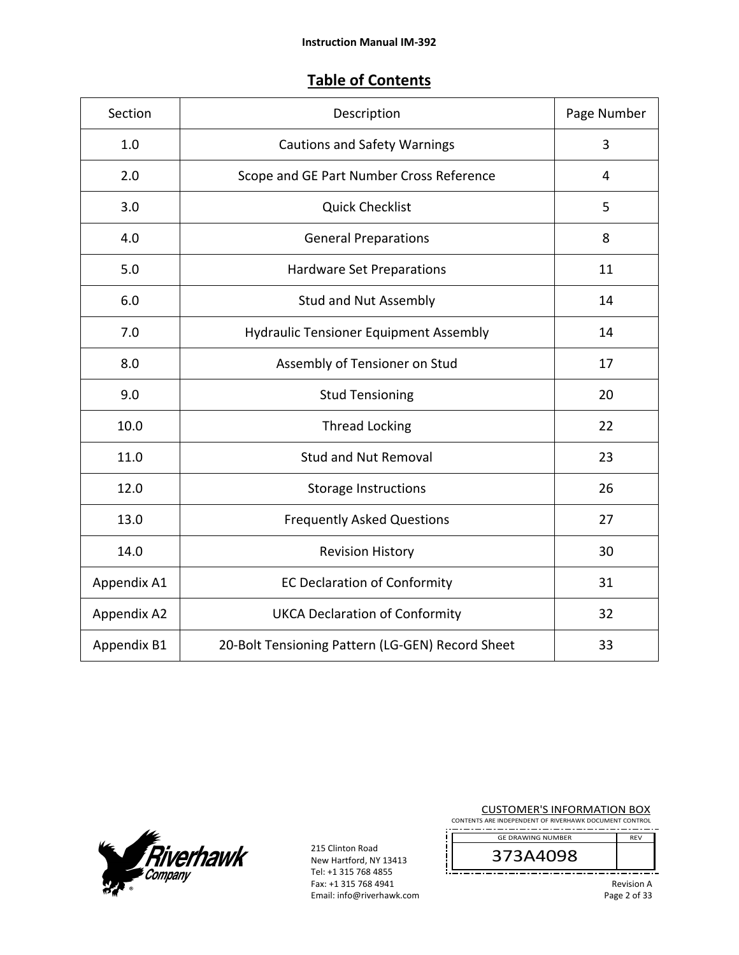# **Table of Contents**

| Section     | Description                                      |    |
|-------------|--------------------------------------------------|----|
| 1.0         | <b>Cautions and Safety Warnings</b>              |    |
| 2.0         | Scope and GE Part Number Cross Reference         | 4  |
| 3.0         | <b>Quick Checklist</b>                           | 5  |
| 4.0         | <b>General Preparations</b>                      | 8  |
| 5.0         | Hardware Set Preparations                        | 11 |
| 6.0         | Stud and Nut Assembly                            | 14 |
| 7.0         | <b>Hydraulic Tensioner Equipment Assembly</b>    | 14 |
| 8.0         | Assembly of Tensioner on Stud                    | 17 |
| 9.0         | <b>Stud Tensioning</b>                           | 20 |
| 10.0        | <b>Thread Locking</b>                            | 22 |
| 11.0        | <b>Stud and Nut Removal</b>                      | 23 |
| 12.0        | <b>Storage Instructions</b>                      | 26 |
| 13.0        | <b>Frequently Asked Questions</b>                | 27 |
| 14.0        | <b>Revision History</b>                          | 30 |
| Appendix A1 | <b>EC Declaration of Conformity</b>              | 31 |
| Appendix A2 | <b>UKCA Declaration of Conformity</b>            | 32 |
| Appendix B1 | 20-Bolt Tensioning Pattern (LG-GEN) Record Sheet | 33 |



215 Clinton Road New Hartford, NY 13413 Tel: +1 315 768 4855 Fax: +1 315 768 4941 Email: info@riverhawk.com CUSTOMER'S INFORMATION BOX

CONTENTS ARE INDEPENDENT OF RIVERHAWK DOCUMENT CONTROL ------------------. . . . . GE DRAWING NUMBER REV

373A4098

Revision A Page 2 of 33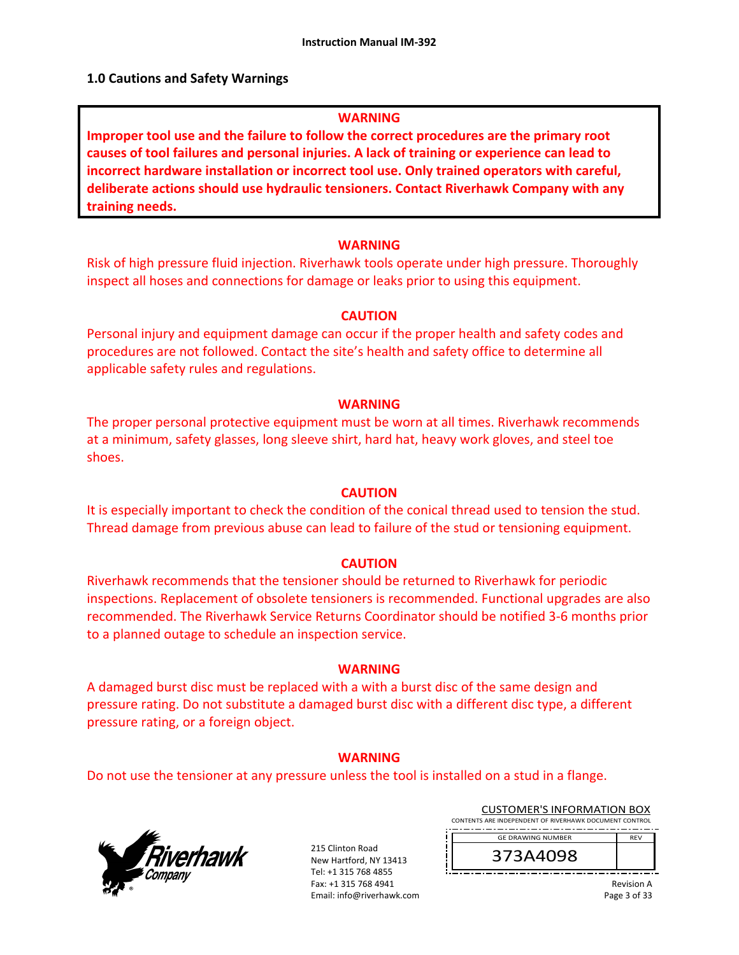### **1.0 Cautions and Safety Warnings**

### **WARNING**

**Improper tool use and the failure to follow the correct procedures are the primary root causes of tool failures and personal injuries. A lack of training or experience can lead to incorrect hardware installation or incorrect tool use. Only trained operators with careful, deliberate actions should use hydraulic tensioners. Contact Riverhawk Company with any training needs.** 

### **WARNING**

Risk of high pressure fluid injection. Riverhawk tools operate under high pressure. Thoroughly inspect all hoses and connections for damage or leaks prior to using this equipment.

### **CAUTION**

Personal injury and equipment damage can occur if the proper health and safety codes and procedures are not followed. Contact the site's health and safety office to determine all applicable safety rules and regulations.

### **WARNING**

The proper personal protective equipment must be worn at all times. Riverhawk recommends at a minimum, safety glasses, long sleeve shirt, hard hat, heavy work gloves, and steel toe shoes.

### **CAUTION**

It is especially important to check the condition of the conical thread used to tension the stud. Thread damage from previous abuse can lead to failure of the stud or tensioning equipment.

### **CAUTION**

Riverhawk recommends that the tensioner should be returned to Riverhawk for periodic inspections. Replacement of obsolete tensioners is recommended. Functional upgrades are also recommended. The Riverhawk Service Returns Coordinator should be notified 3‐6 months prior to a planned outage to schedule an inspection service.

### **WARNING**

A damaged burst disc must be replaced with a with a burst disc of the same design and pressure rating. Do not substitute a damaged burst disc with a different disc type, a different pressure rating, or a foreign object.

### **WARNING**

Do not use the tensioner at any pressure unless the tool is installed on a stud in a flange.



215 Clinton Road New Hartford, NY 13413 Tel: +1 315 768 4855 Fax: +1 315 768 4941 Email: info@riverhawk.com

CUSTOMER'S INFORMATION BOX CONTENTS ARE INDEPENDENT OF RIVERHAWK DOCUMENT CONTROL ----------------GE DRAWING NUMBER REV

373A4098

Revision A Page 3 of 33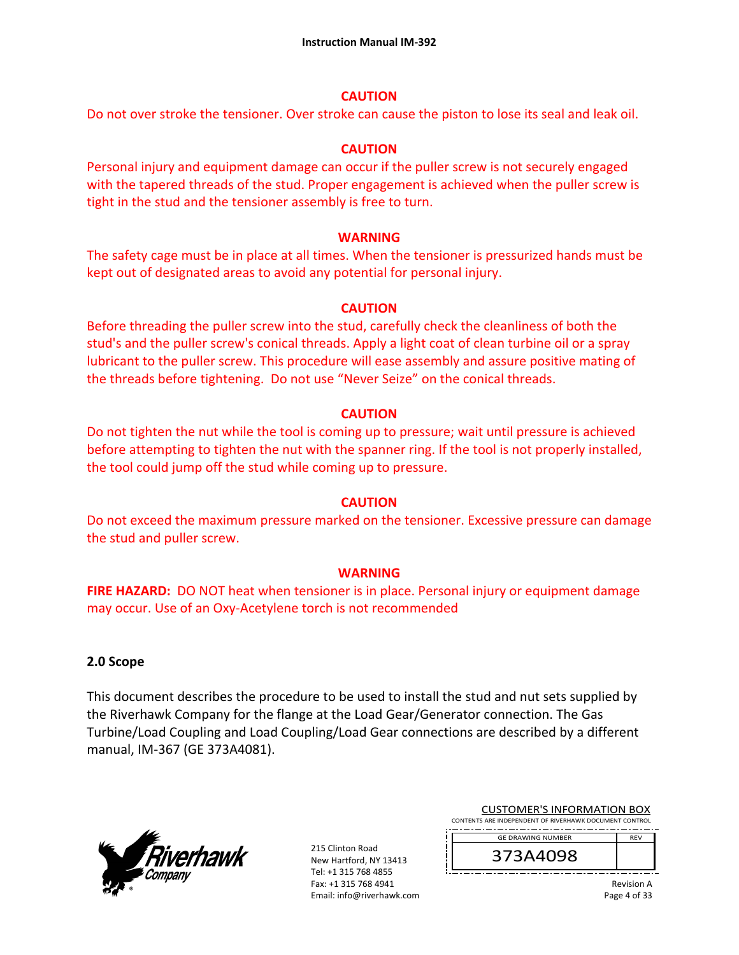## **CAUTION**

Do not over stroke the tensioner. Over stroke can cause the piston to lose its seal and leak oil.

## **CAUTION**

Personal injury and equipment damage can occur if the puller screw is not securely engaged with the tapered threads of the stud. Proper engagement is achieved when the puller screw is tight in the stud and the tensioner assembly is free to turn.

## **WARNING**

The safety cage must be in place at all times. When the tensioner is pressurized hands must be kept out of designated areas to avoid any potential for personal injury.

## **CAUTION**

Before threading the puller screw into the stud, carefully check the cleanliness of both the stud's and the puller screw's conical threads. Apply a light coat of clean turbine oil or a spray lubricant to the puller screw. This procedure will ease assembly and assure positive mating of the threads before tightening. Do not use "Never Seize" on the conical threads.

## **CAUTION**

Do not tighten the nut while the tool is coming up to pressure; wait until pressure is achieved before attempting to tighten the nut with the spanner ring. If the tool is not properly installed, the tool could jump off the stud while coming up to pressure.

## **CAUTION**

Do not exceed the maximum pressure marked on the tensioner. Excessive pressure can damage the stud and puller screw.

## **WARNING**

**FIRE HAZARD:** DO NOT heat when tensioner is in place. Personal injury or equipment damage may occur. Use of an Oxy‐Acetylene torch is not recommended

## **2.0 Scope**

This document describes the procedure to be used to install the stud and nut sets supplied by the Riverhawk Company for the flange at the Load Gear/Generator connection. The Gas Turbine/Load Coupling and Load Coupling/Load Gear connections are described by a different manual, IM‐367 (GE 373A4081).



215 Clinton Road New Hartford, NY 13413 Tel: +1 315 768 4855 Fax: +1 315 768 4941 Email: info@riverhawk.com

| <b>CUSTOMER'S INFORMATION BOX</b>                      |            |  |  |
|--------------------------------------------------------|------------|--|--|
| CONTENTS ARE INDEPENDENT OF RIVERHAWK DOCUMENT CONTROL |            |  |  |
|                                                        |            |  |  |
| <b>GF DRAWING NUMBER</b>                               | <b>RFV</b> |  |  |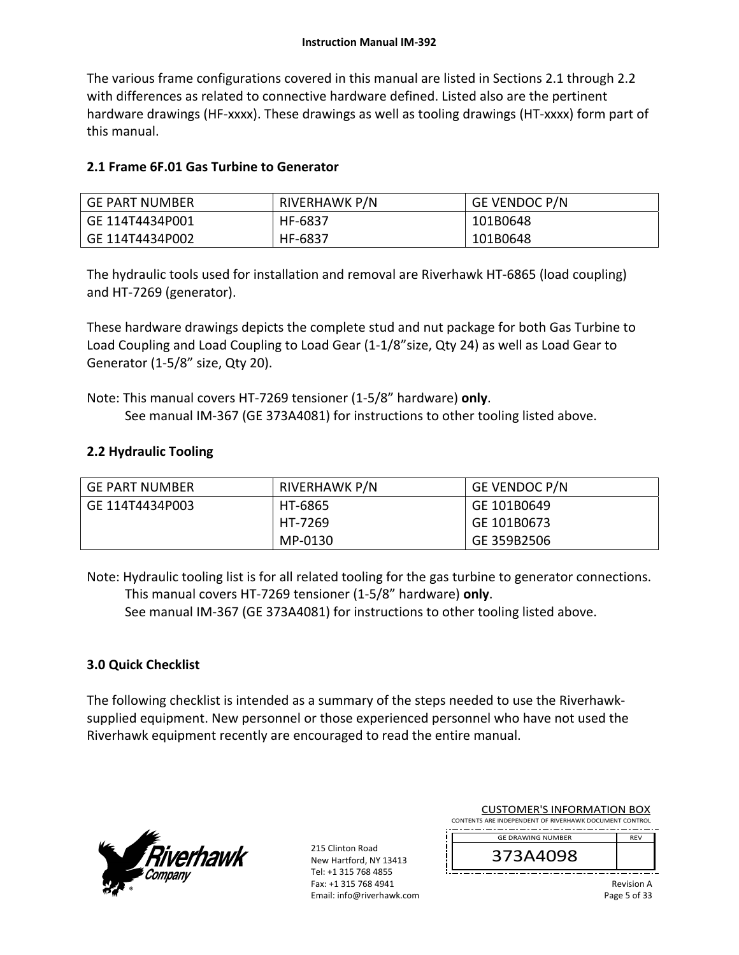The various frame configurations covered in this manual are listed in Sections 2.1 through 2.2 with differences as related to connective hardware defined. Listed also are the pertinent hardware drawings (HF-xxxx). These drawings as well as tooling drawings (HT-xxxx) form part of this manual.

# **2.1 Frame 6F.01 Gas Turbine to Generator**

| <b>GE PART NUMBER</b> | RIVERHAWK P/N | <b>GE VENDOC P/N</b> |
|-----------------------|---------------|----------------------|
| GE 114T4434P001       | HF-6837       | 101B0648             |
| GE 114T4434P002       | HF-6837       | 101B0648             |

The hydraulic tools used for installation and removal are Riverhawk HT‐6865 (load coupling) and HT‐7269 (generator).

These hardware drawings depicts the complete stud and nut package for both Gas Turbine to Load Coupling and Load Coupling to Load Gear (1‐1/8"size, Qty 24) as well as Load Gear to Generator (1‐5/8" size, Qty 20).

Note: This manual covers HT‐7269 tensioner (1‐5/8" hardware) **only**. See manual IM‐367 (GE 373A4081) for instructions to other tooling listed above.

# **2.2 Hydraulic Tooling**

| <b>GE PART NUMBER</b> | RIVERHAWK P/N | <b>GE VENDOC P/N</b> |
|-----------------------|---------------|----------------------|
| GE 114T4434P003       | HT-6865       | GE 101B0649          |
|                       | HT-7269       | GE 101B0673          |
|                       | MP-0130       | GE 359B2506          |

Note: Hydraulic tooling list is for all related tooling for the gas turbine to generator connections. This manual covers HT‐7269 tensioner (1‐5/8" hardware) **only**.

See manual IM-367 (GE 373A4081) for instructions to other tooling listed above.

# **3.0 Quick Checklist**

The following checklist is intended as a summary of the steps needed to use the Riverhawk‐ supplied equipment. New personnel or those experienced personnel who have not used the Riverhawk equipment recently are encouraged to read the entire manual.



215 Clinton Road New Hartford, NY 13413 Tel: +1 315 768 4855 Fax: +1 315 768 4941 Email: info@riverhawk.com

| CUSTUIVIER STINFURIVIATION BUA                         |            |  |  |
|--------------------------------------------------------|------------|--|--|
| CONTENTS ARE INDEPENDENT OF RIVERHAWK DOCUMENT CONTROL |            |  |  |
|                                                        |            |  |  |
| <b>GF DRAWING NUMBER</b>                               | <b>RFV</b> |  |  |
|                                                        |            |  |  |

CUCTOMER'S INFORMATION BOY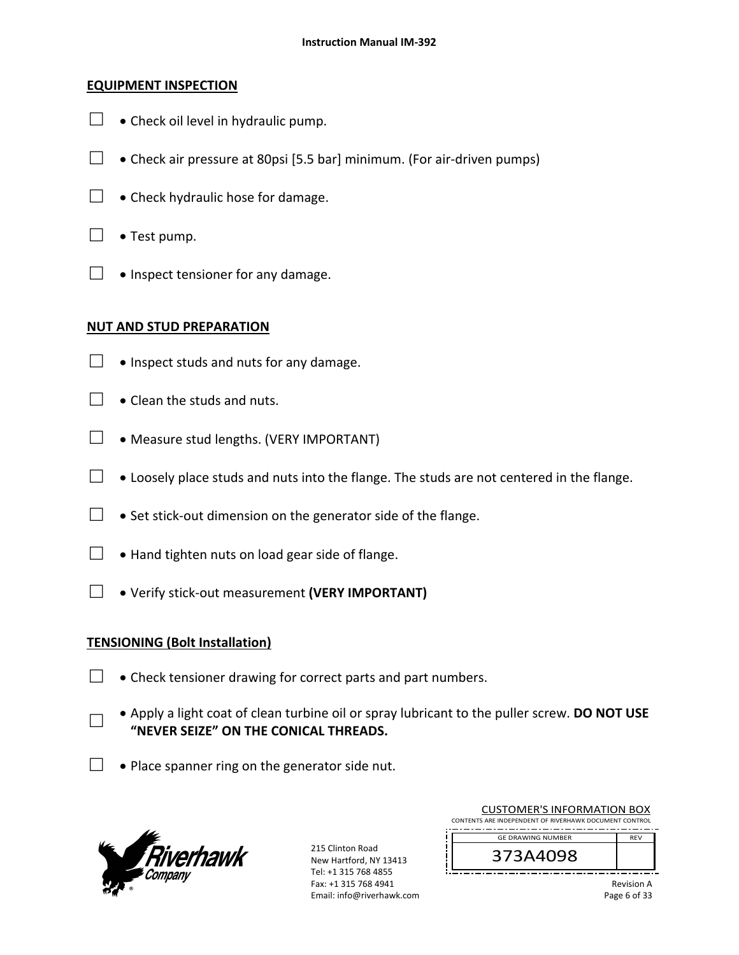## **EQUIPMENT INSPECTION**

- $\Box$  . Check oil level in hydraulic pump.
- $□$  Check air pressure at 80psi [5.5 bar] minimum. (For air-driven pumps)
- $\Box$  . Check hydraulic hose for damage.
- $\Box \bullet$  Test pump.
- $\Box \bullet$  Inspect tensioner for any damage.

## **NUT AND STUD PREPARATION**

- $\Box \bullet$  Inspect studs and nuts for any damage.
- $\Box$   $\bullet$  Clean the studs and nuts.
- $\Box \bullet$  Measure stud lengths. (VERY IMPORTANT)
- $\Box$   $\bullet$  Loosely place studs and nuts into the flange. The studs are not centered in the flange.
- $□$   $\bullet$  Set stick-out dimension on the generator side of the flange.
- $\Box$  . Hand tighten nuts on load gear side of flange.
- □ Verify stick‐out measurement **(VERY IMPORTANT)**

## **TENSIONING (Bolt Installation)**

□

- $\Box$   $\bullet$  Check tensioner drawing for correct parts and part numbers.
	- Apply a light coat of clean turbine oil or spray lubricant to the puller screw. **DO NOT USE "NEVER SEIZE" ON THE CONICAL THREADS.**
- $\Box$   $\bullet$  Place spanner ring on the generator side nut.



215 Clinton Road New Hartford, NY 13413 Tel: +1 315 768 4855 Fax: +1 315 768 4941 Email: info@riverhawk.com

| COSTOINILIN STINI ONNIATION DOM                        |
|--------------------------------------------------------|
| CONTENTS ARE INDEPENDENT OF RIVERHAWK DOCUMENT CONTROL |
| <b>RFV</b>                                             |
|                                                        |
|                                                        |
|                                                        |
|                                                        |

CUSTOMER'S INFORMATION BOX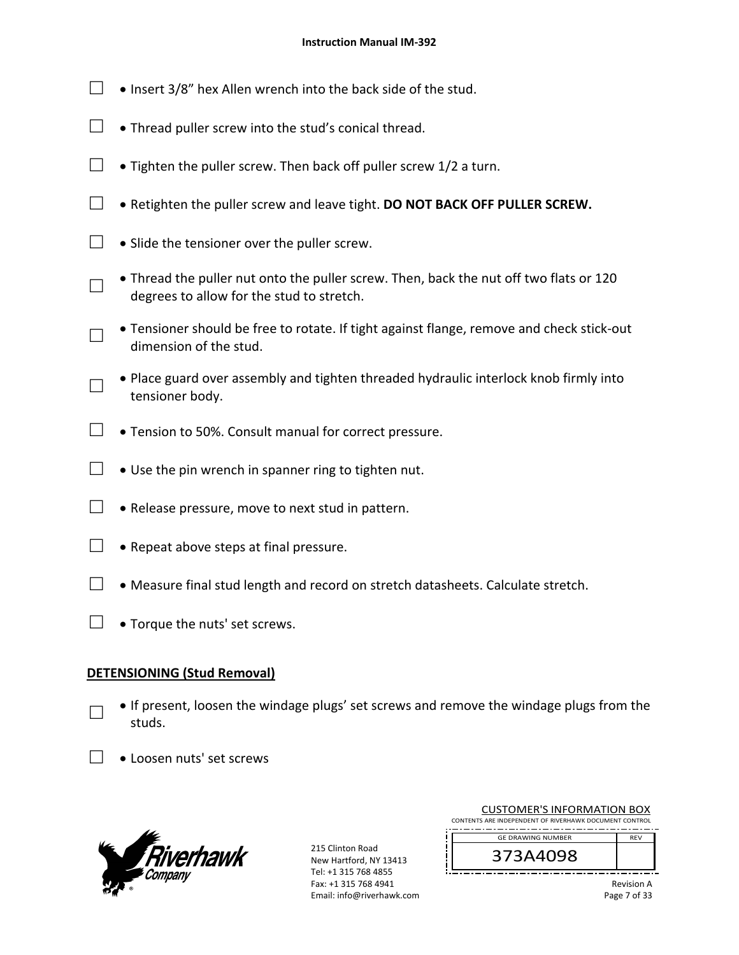- □ Insert  $3/8$ " hex Allen wrench into the back side of the stud.
- $\Box$   $\bullet$  Thread puller screw into the stud's conical thread.
- $\Box$  Tighten the puller screw. Then back off puller screw 1/2 a turn.
- □ Retighten the puller screw and leave tight. **DO NOT BACK OFF PULLER SCREW.**
- $\Box$   $\bullet$  Slide the tensioner over the puller screw.
- □ Thread the puller nut onto the puller screw. Then, back the nut off two flats or 120 degrees to allow for the stud to stretch.
- □ Tensioner should be free to rotate. If tight against flange, remove and check stick‐out dimension of the stud.
- □ Place guard over assembly and tighten threaded hydraulic interlock knob firmly into tensioner body.
- $\Box$  . Tension to 50%. Consult manual for correct pressure.
- □  $\bullet$  Use the pin wrench in spanner ring to tighten nut.
- $\Box \bullet$  Release pressure, move to next stud in pattern.
- $\Box \bullet$  Repeat above steps at final pressure.
- $\Box$  Measure final stud length and record on stretch datasheets. Calculate stretch.
- $\Box$  . Torque the nuts' set screws.

## **DETENSIONING (Stud Removal)**

□

- If present, loosen the windage plugs' set screws and remove the windage plugs from the studs.
- □ Loosen nuts' set screws



215 Clinton Road New Hartford, NY 13413 Tel: +1 315 768 4855 Fax: +1 315 768 4941 Email: info@riverhawk.com

| CONTENTS ARE INDEPENDENT OF RIVERHAWK DOCUMENT CONTROL |            |
|--------------------------------------------------------|------------|
| <b>GE DRAWING NUMBER</b>                               | <b>RFV</b> |
|                                                        |            |

CUSTOMER'S INFORMATION BOX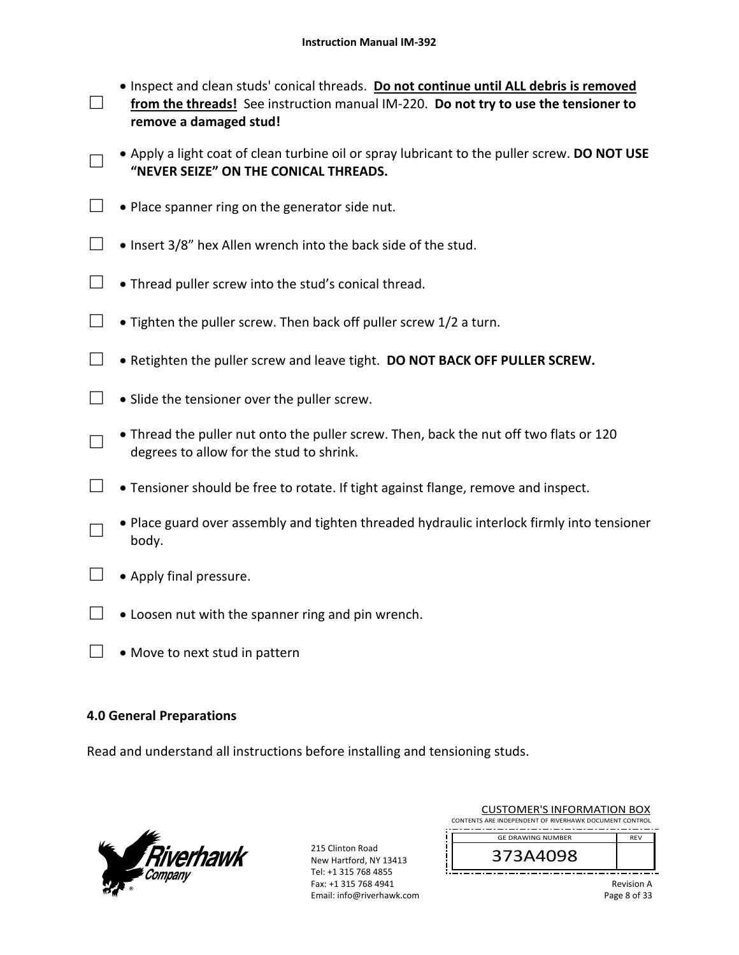□ Inspect and clean studs' conical threads. **Do not continue until ALL debris is removed**  from the threads! See instruction manual IM-220. Do not try to use the tensioner to **remove a damaged stud!** 

□ Apply a light coat of clean turbine oil or spray lubricant to the puller screw. **DO NOT USE "NEVER SEIZE" ON THE CONICAL THREADS.**

- $\Box$  . Place spanner ring on the generator side nut.
- □ Insert  $3/8$ " hex Allen wrench into the back side of the stud.
- $\Box$  Thread puller screw into the stud's conical thread.
- $\Box$  Tighten the puller screw. Then back off puller screw 1/2 a turn.
- $\Box$   $\bullet$  Retighten the puller screw and leave tight. **DO NOT BACK OFF PULLER SCREW.**
- $\Box$   $\bullet$  Slide the tensioner over the puller screw.
- □ Thread the puller nut onto the puller screw. Then, back the nut off two flats or 120 degrees to allow for the stud to shrink.
- $\Box$  Tensioner should be free to rotate. If tight against flange, remove and inspect.
- □ Place guard over assembly and tighten threaded hydraulic interlock firmly into tensioner body.
- $\Box \bullet$  Apply final pressure.
- $\Box$   $\bullet$  Loosen nut with the spanner ring and pin wrench.
- $\Box \bullet$  Move to next stud in pattern

## **4.0 General Preparations**

Read and understand all instructions before installing and tensioning studs.



215 Clinton Road New Hartford, NY 13413 Tel: +1 315 768 4855 Fax: +1 315 768 4941 Email: info@riverhawk.com

| CUSTOMER'S INFORMATION BOX                             |            |
|--------------------------------------------------------|------------|
| CONTENTS ARE INDEPENDENT OF RIVERHAWK DOCUMENT CONTROL |            |
| --<br>--<br>--<br>--<br>----<br>--<br>--<br>--<br>--   | ________   |
| <b>GE DRAWING NUMBER</b>                               | <b>RFV</b> |

customer in customers in the contract of the contract of the contract of the contract of the contract of the c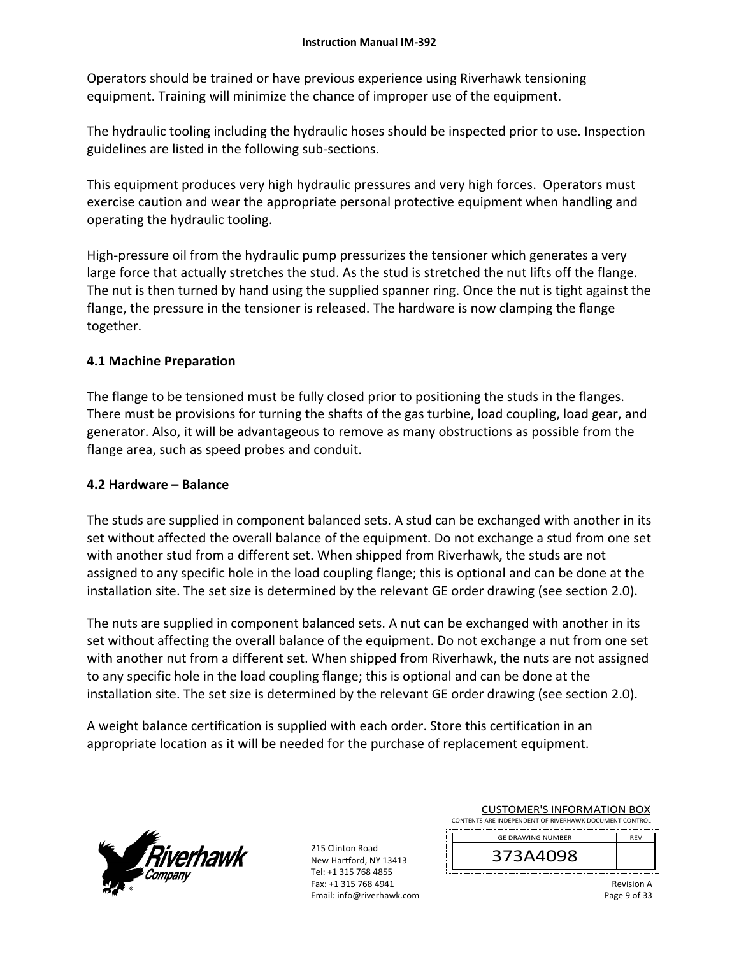Operators should be trained or have previous experience using Riverhawk tensioning equipment. Training will minimize the chance of improper use of the equipment.

The hydraulic tooling including the hydraulic hoses should be inspected prior to use. Inspection guidelines are listed in the following sub‐sections.

This equipment produces very high hydraulic pressures and very high forces. Operators must exercise caution and wear the appropriate personal protective equipment when handling and operating the hydraulic tooling.

High-pressure oil from the hydraulic pump pressurizes the tensioner which generates a very large force that actually stretches the stud. As the stud is stretched the nut lifts off the flange. The nut is then turned by hand using the supplied spanner ring. Once the nut is tight against the flange, the pressure in the tensioner is released. The hardware is now clamping the flange together.

# **4.1 Machine Preparation**

The flange to be tensioned must be fully closed prior to positioning the studs in the flanges. There must be provisions for turning the shafts of the gas turbine, load coupling, load gear, and generator. Also, it will be advantageous to remove as many obstructions as possible from the flange area, such as speed probes and conduit.

# **4.2 Hardware – Balance**

The studs are supplied in component balanced sets. A stud can be exchanged with another in its set without affected the overall balance of the equipment. Do not exchange a stud from one set with another stud from a different set. When shipped from Riverhawk, the studs are not assigned to any specific hole in the load coupling flange; this is optional and can be done at the installation site. The set size is determined by the relevant GE order drawing (see section 2.0).

The nuts are supplied in component balanced sets. A nut can be exchanged with another in its set without affecting the overall balance of the equipment. Do not exchange a nut from one set with another nut from a different set. When shipped from Riverhawk, the nuts are not assigned to any specific hole in the load coupling flange; this is optional and can be done at the installation site. The set size is determined by the relevant GE order drawing (see section 2.0).

A weight balance certification is supplied with each order. Store this certification in an appropriate location as it will be needed for the purchase of replacement equipment.



215 Clinton Road New Hartford, NY 13413 Tel: +1 315 768 4855 Fax: +1 315 768 4941 Email: info@riverhawk.com

| <b>CUSTOMER'S INFORMATION BOX</b><br>CONTENTS ARE INDEPENDENT OF RIVERHAWK DOCUMENT CONTROL |            |
|---------------------------------------------------------------------------------------------|------------|
| <b>GE DRAWING NUMBER</b>                                                                    | <b>RFV</b> |
| 373 8 8000                                                                                  |            |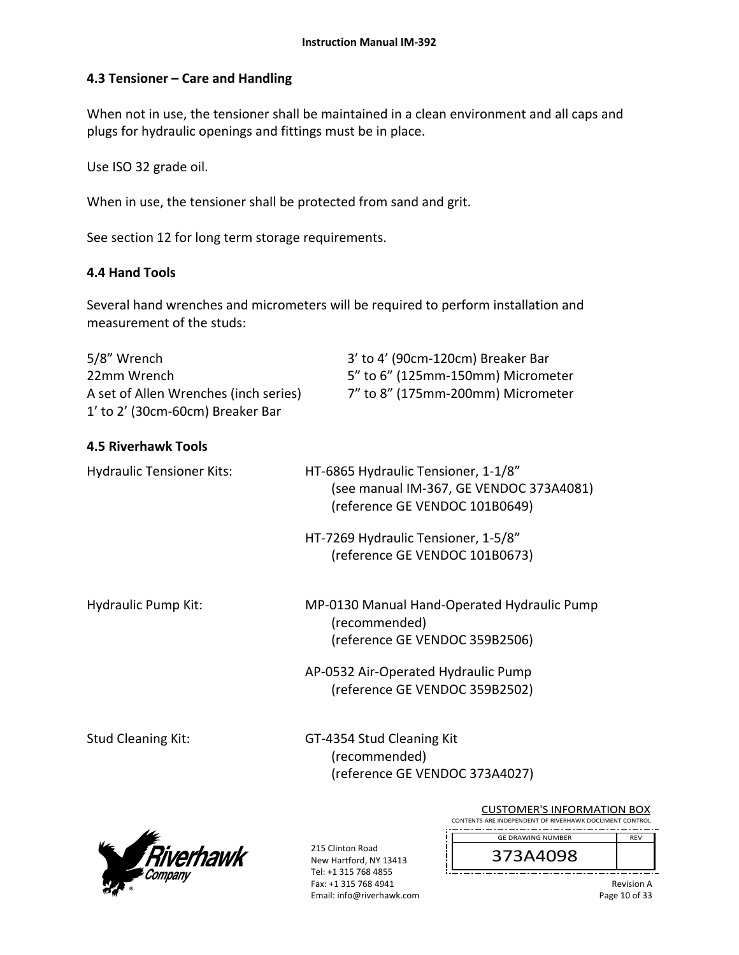## **4.3 Tensioner – Care and Handling**

When not in use, the tensioner shall be maintained in a clean environment and all caps and plugs for hydraulic openings and fittings must be in place.

Use ISO 32 grade oil.

When in use, the tensioner shall be protected from sand and grit.

See section 12 for long term storage requirements.

### **4.4 Hand Tools**

Several hand wrenches and micrometers will be required to perform installation and measurement of the studs:

| 5/8" Wrench                           | 3' to 4' (90cm-120cm) Breaker Bar                                               |
|---------------------------------------|---------------------------------------------------------------------------------|
| 22mm Wrench                           | 5" to 6" (125mm-150mm) Micrometer                                               |
| A set of Allen Wrenches (inch series) | 7" to 8" (175mm-200mm) Micrometer                                               |
| 1' to 2' (30cm-60cm) Breaker Bar      |                                                                                 |
| <b>4.5 Riverhawk Tools</b>            |                                                                                 |
| <b>Hydraulic Tensioner Kits:</b>      | HT-6865 Hydraulic Tensioner, 1-1/8"                                             |
|                                       | (see manual IM-367, GE VENDOC 373A4081)                                         |
|                                       | (reference GE VENDOC 101B0649)                                                  |
|                                       | HT-7269 Hydraulic Tensioner, 1-5/8"                                             |
|                                       | (reference GE VENDOC 101B0673)                                                  |
|                                       |                                                                                 |
| <b>Hydraulic Pump Kit:</b>            | MP-0130 Manual Hand-Operated Hydraulic Pump<br>$\sqrt{2}$ $\sqrt{2}$ $\sqrt{2}$ |

 (recommended) (reference GE VENDOC 359B2506)

 AP‐0532 Air‐Operated Hydraulic Pump (reference GE VENDOC 359B2502)

Stud Cleaning Kit: GT-4354 Stud Cleaning Kit (recommended) (reference GE VENDOC 373A4027)



215 Clinton Road New Hartford, NY 13413 Tel: +1 315 768 4855 Fax: +1 315 768 4941 Email: info@riverhawk.com

CUSTOMER'S INFORMATION BOX CONTENTS ARE INDEPENDENT OF RIVERHAWK DOCUMENT CONTROL \_\_\_\_\_\_\_\_\_\_\_\_\_\_\_\_\_\_ GE DRAWING NUMBER REV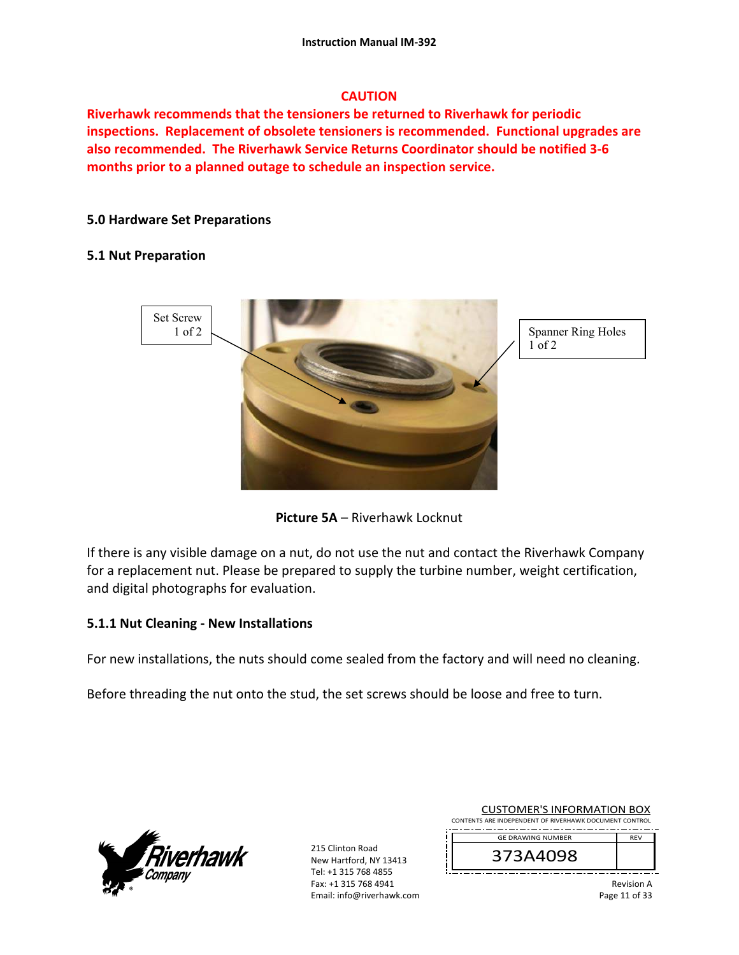## **CAUTION**

**Riverhawk recommends that the tensioners be returned to Riverhawk for periodic inspections. Replacement of obsolete tensioners is recommended. Functional upgrades are also recommended. The Riverhawk Service Returns Coordinator should be notified 3‐6 months prior to a planned outage to schedule an inspection service.** 

## **5.0 Hardware Set Preparations**

## **5.1 Nut Preparation**



**Picture 5A** – Riverhawk Locknut

If there is any visible damage on a nut, do not use the nut and contact the Riverhawk Company for a replacement nut. Please be prepared to supply the turbine number, weight certification, and digital photographs for evaluation.

## **5.1.1 Nut Cleaning ‐ New Installations**

For new installations, the nuts should come sealed from the factory and will need no cleaning.

Before threading the nut onto the stud, the set screws should be loose and free to turn.



215 Clinton Road New Hartford, NY 13413 Tel: +1 315 768 4855 Fax: +1 315 768 4941 Email: info@riverhawk.com

| <b>CUSTOMER'S INFORMATION BOX</b>                      |            |  |
|--------------------------------------------------------|------------|--|
| CONTENTS ARE INDEPENDENT OF RIVERHAWK DOCUMENT CONTROL |            |  |
| <b>GE DRAWING NUMBER</b>                               | <b>RFV</b> |  |
|                                                        |            |  |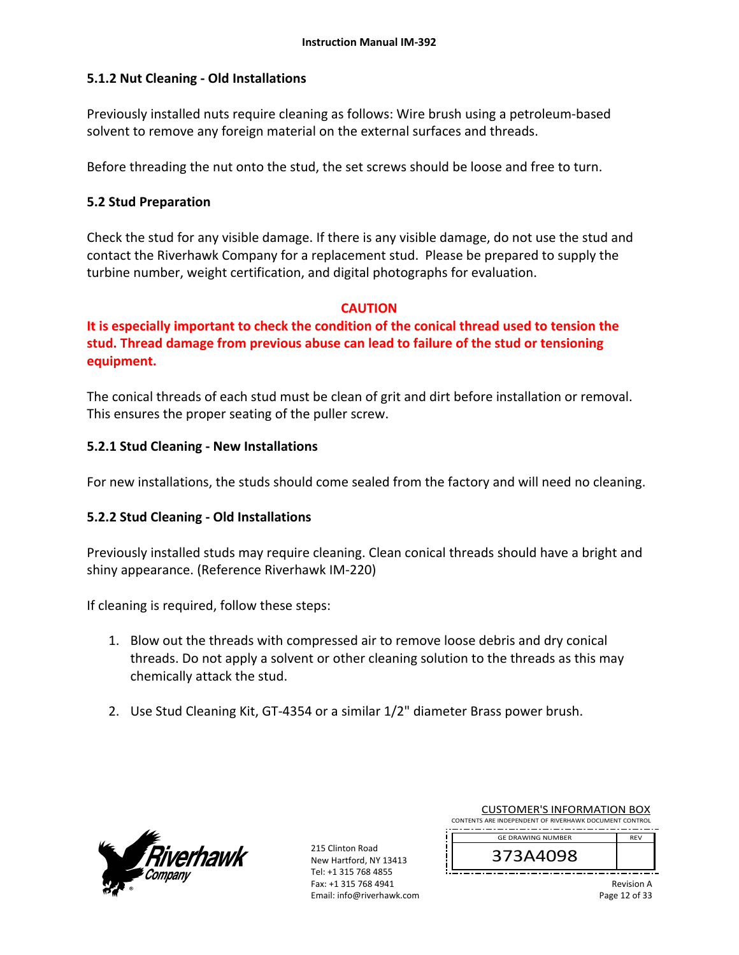## **5.1.2 Nut Cleaning ‐ Old Installations**

Previously installed nuts require cleaning as follows: Wire brush using a petroleum‐based solvent to remove any foreign material on the external surfaces and threads.

Before threading the nut onto the stud, the set screws should be loose and free to turn.

## **5.2 Stud Preparation**

Check the stud for any visible damage. If there is any visible damage, do not use the stud and contact the Riverhawk Company for a replacement stud. Please be prepared to supply the turbine number, weight certification, and digital photographs for evaluation.

## **CAUTION**

**It is especially important to check the condition of the conical thread used to tension the stud. Thread damage from previous abuse can lead to failure of the stud or tensioning equipment.**

The conical threads of each stud must be clean of grit and dirt before installation or removal. This ensures the proper seating of the puller screw.

## **5.2.1 Stud Cleaning ‐ New Installations**

For new installations, the studs should come sealed from the factory and will need no cleaning.

## **5.2.2 Stud Cleaning ‐ Old Installations**

Previously installed studs may require cleaning. Clean conical threads should have a bright and shiny appearance. (Reference Riverhawk IM‐220)

If cleaning is required, follow these steps:

- 1. Blow out the threads with compressed air to remove loose debris and dry conical threads. Do not apply a solvent or other cleaning solution to the threads as this may chemically attack the stud.
- 2. Use Stud Cleaning Kit, GT‐4354 or a similar 1/2" diameter Brass power brush.



215 Clinton Road New Hartford, NY 13413 Tel: +1 315 768 4855 Fax: +1 315 768 4941 Email: info@riverhawk.com

| <b>GE DRAWING NUMBER</b><br>3A409,                     |            |
|--------------------------------------------------------|------------|
| CONTENTS ARE INDEPENDENT OF RIVERHAWK DOCUMENT CONTROL | <b>RFV</b> |

CUSTOMER'S INFORMATION BOX

Revision A Page 12 of 33

┛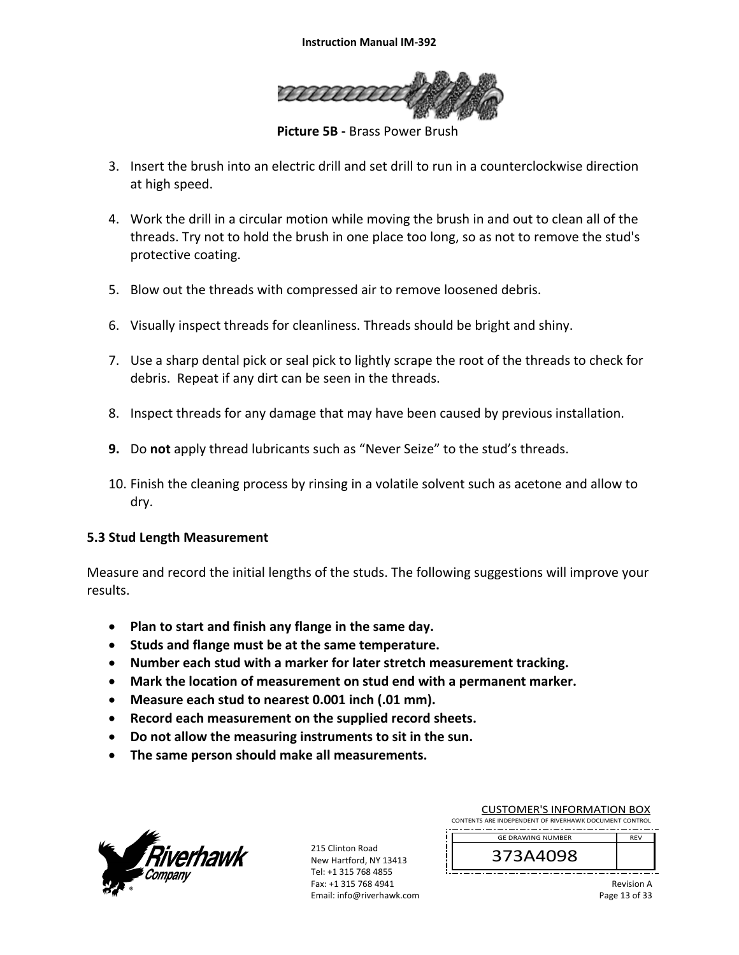

 **Picture 5B ‐** Brass Power Brush

- 3. Insert the brush into an electric drill and set drill to run in a counterclockwise direction at high speed.
- 4. Work the drill in a circular motion while moving the brush in and out to clean all of the threads. Try not to hold the brush in one place too long, so as not to remove the stud's protective coating.
- 5. Blow out the threads with compressed air to remove loosened debris.
- 6. Visually inspect threads for cleanliness. Threads should be bright and shiny.
- 7. Use a sharp dental pick or seal pick to lightly scrape the root of the threads to check for debris. Repeat if any dirt can be seen in the threads.
- 8. Inspect threads for any damage that may have been caused by previous installation.
- **9.** Do **not** apply thread lubricants such as "Never Seize" to the stud's threads.
- 10. Finish the cleaning process by rinsing in a volatile solvent such as acetone and allow to dry.

## **5.3 Stud Length Measurement**

Measure and record the initial lengths of the studs. The following suggestions will improve your results.

- **Plan to start and finish any flange in the same day.**
- **Studs and flange must be at the same temperature.**
- **Number each stud with a marker for later stretch measurement tracking.**
- **Mark the location of measurement on stud end with a permanent marker.**
- **Measure each stud to nearest 0.001 inch (.01 mm).**
- **Record each measurement on the supplied record sheets.**
- **Do not allow the measuring instruments to sit in the sun.**
- **The same person should make all measurements.**



215 Clinton Road New Hartford, NY 13413 Tel: +1 315 768 4855 Fax: +1 315 768 4941 Email: info@riverhawk.com

| CONTENTS ARE INDEPENDENT OF RIVERHAWK DOCUMENT CONTROL<br><b>GE DRAWING NUMBER</b> | <b>RFV</b> |
|------------------------------------------------------------------------------------|------------|
| 373A4098                                                                           |            |

CUSTOMER'S INFORMATION BOX

Revision A Page 13 of 33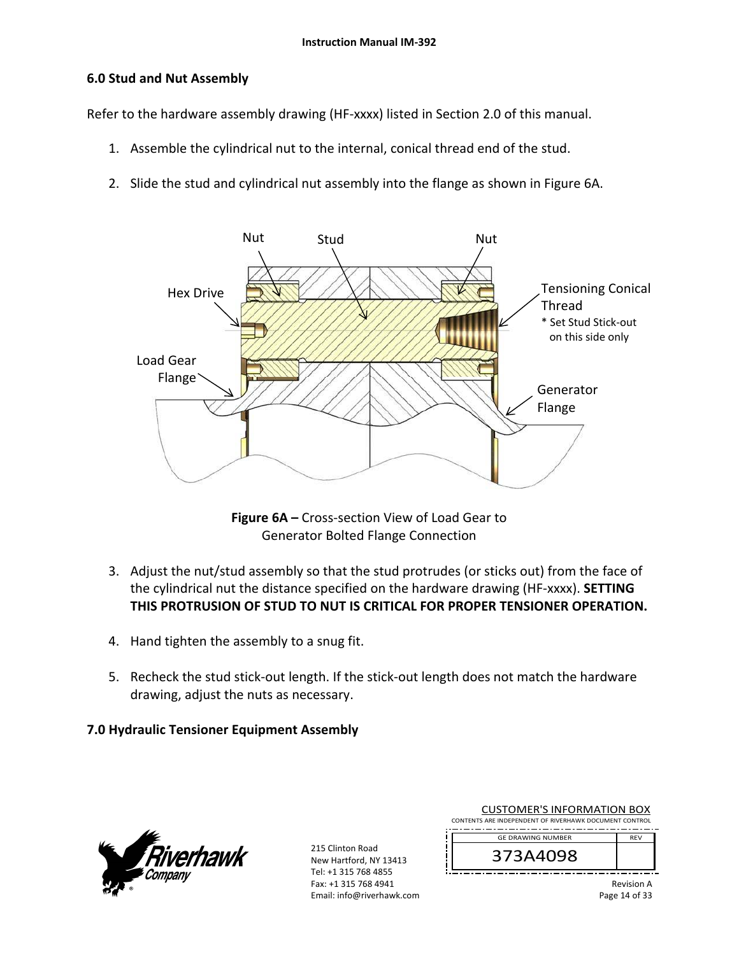## **6.0 Stud and Nut Assembly**

Refer to the hardware assembly drawing (HF-xxxx) listed in Section 2.0 of this manual.

- 1. Assemble the cylindrical nut to the internal, conical thread end of the stud.
- 2. Slide the stud and cylindrical nut assembly into the flange as shown in Figure 6A.



**Figure 6A –** Cross‐section View of Load Gear to Generator Bolted Flange Connection

- 3. Adjust the nut/stud assembly so that the stud protrudes (or sticks out) from the face of the cylindrical nut the distance specified on the hardware drawing (HF‐xxxx). **SETTING THIS PROTRUSION OF STUD TO NUT IS CRITICAL FOR PROPER TENSIONER OPERATION.**
- 4. Hand tighten the assembly to a snug fit.
- 5. Recheck the stud stick-out length. If the stick-out length does not match the hardware drawing, adjust the nuts as necessary.

## **7.0 Hydraulic Tensioner Equipment Assembly**



215 Clinton Road New Hartford, NY 13413 Tel: +1 315 768 4855 Fax: +1 315 768 4941 Email: info@riverhawk.com

| <b>CUSTOMER'S INFORMATION BOX</b>                      |            |
|--------------------------------------------------------|------------|
| CONTENTS ARE INDEPENDENT OF RIVERHAWK DOCUMENT CONTROL |            |
| --<br>--<br>--<br>--<br>--                             |            |
| <b>GE DRAWING NUMBER</b>                               | <b>RFV</b> |

373A4098

Revision A Page 14 of 33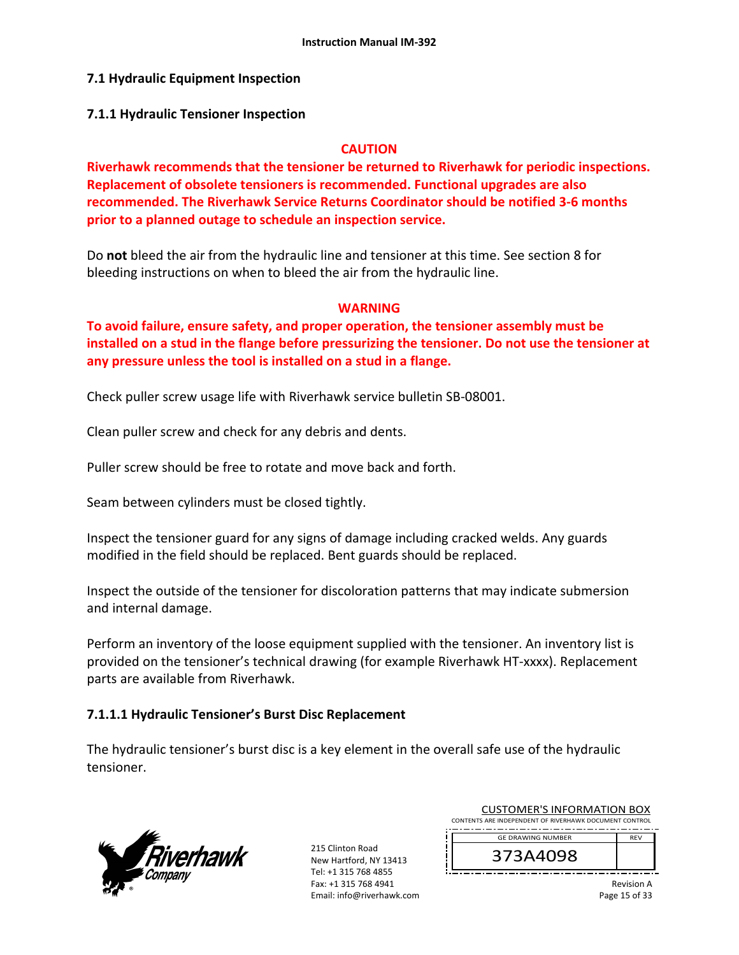## **7.1 Hydraulic Equipment Inspection**

### **7.1.1 Hydraulic Tensioner Inspection**

### **CAUTION**

**Riverhawk recommends that the tensioner be returned to Riverhawk for periodic inspections. Replacement of obsolete tensioners is recommended. Functional upgrades are also recommended. The Riverhawk Service Returns Coordinator should be notified 3‐6 months prior to a planned outage to schedule an inspection service.** 

Do **not** bleed the air from the hydraulic line and tensioner at this time. See section 8 for bleeding instructions on when to bleed the air from the hydraulic line.

### **WARNING**

**To avoid failure, ensure safety, and proper operation, the tensioner assembly must be installed on a stud in the flange before pressurizing the tensioner. Do not use the tensioner at any pressure unless the tool is installed on a stud in a flange.** 

Check puller screw usage life with Riverhawk service bulletin SB‐08001.

Clean puller screw and check for any debris and dents.

Puller screw should be free to rotate and move back and forth.

Seam between cylinders must be closed tightly.

Inspect the tensioner guard for any signs of damage including cracked welds. Any guards modified in the field should be replaced. Bent guards should be replaced.

Inspect the outside of the tensioner for discoloration patterns that may indicate submersion and internal damage.

Perform an inventory of the loose equipment supplied with the tensioner. An inventory list is provided on the tensioner's technical drawing (for example Riverhawk HT‐xxxx). Replacement parts are available from Riverhawk.

## **7.1.1.1 Hydraulic Tensioner's Burst Disc Replacement**

The hydraulic tensioner's burst disc is a key element in the overall safe use of the hydraulic tensioner.



215 Clinton Road New Hartford, NY 13413 Tel: +1 315 768 4855 Fax: +1 315 768 4941 Email: info@riverhawk.com

| <b>CUSTOMER'S INFORMATION BOX</b>                      |            |  |
|--------------------------------------------------------|------------|--|
| CONTENTS ARE INDEPENDENT OF RIVERHAWK DOCUMENT CONTROL |            |  |
| <b>GE DRAWING NUMBER</b>                               | <b>RFV</b> |  |

CUSTOMER'S INFORMATION BOX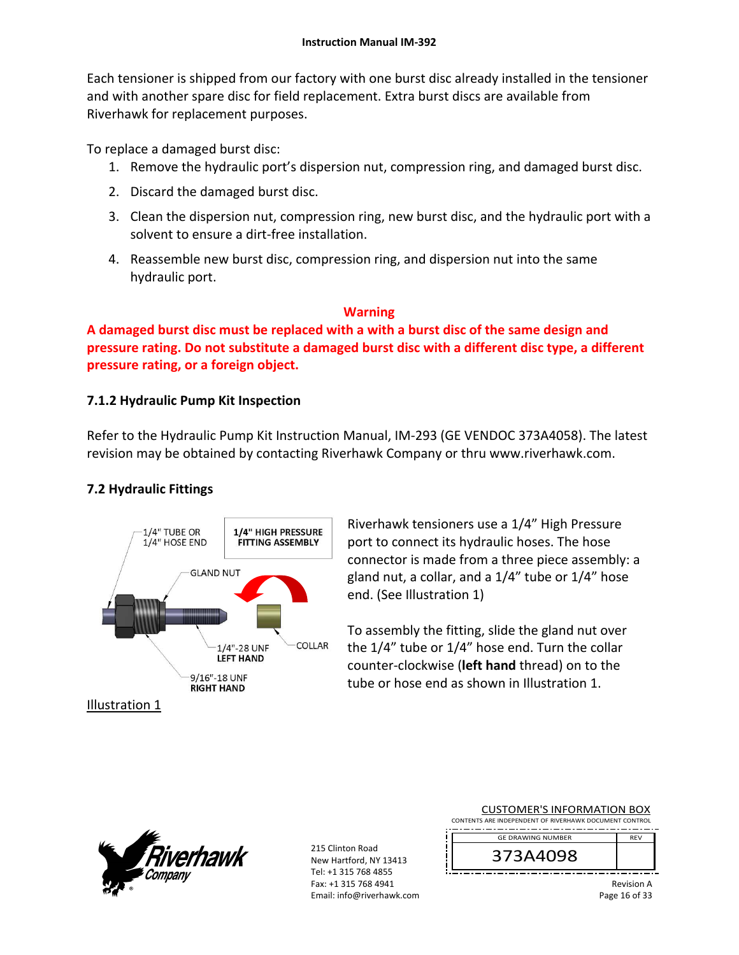Each tensioner is shipped from our factory with one burst disc already installed in the tensioner and with another spare disc for field replacement. Extra burst discs are available from Riverhawk for replacement purposes.

To replace a damaged burst disc:

- 1. Remove the hydraulic port's dispersion nut, compression ring, and damaged burst disc.
- 2. Discard the damaged burst disc.
- 3. Clean the dispersion nut, compression ring, new burst disc, and the hydraulic port with a solvent to ensure a dirt‐free installation.
- 4. Reassemble new burst disc, compression ring, and dispersion nut into the same hydraulic port.

## **Warning**

**A damaged burst disc must be replaced with a with a burst disc of the same design and pressure rating. Do not substitute a damaged burst disc with a different disc type, a different pressure rating, or a foreign object.**

# **7.1.2 Hydraulic Pump Kit Inspection**

Refer to the Hydraulic Pump Kit Instruction Manual, IM‐293 (GE VENDOC 373A4058). The latest revision may be obtained by contacting Riverhawk Company or thru www.riverhawk.com.

# **7.2 Hydraulic Fittings**



Riverhawk tensioners use a 1/4" High Pressure port to connect its hydraulic hoses. The hose connector is made from a three piece assembly: a gland nut, a collar, and a 1/4" tube or 1/4" hose end. (See Illustration 1)

To assembly the fitting, slide the gland nut over the 1/4" tube or 1/4" hose end. Turn the collar counter‐clockwise (**left hand** thread) on to the tube or hose end as shown in Illustration 1.

215 Clinton Road New Hartford, NY 13413 Tel: +1 315 768 4855 Fax: +1 315 768 4941 Email: info@riverhawk.com

| <b>CUSTOMER'S INFORMATION BOX</b>                      |  |  |  |
|--------------------------------------------------------|--|--|--|
| CONTENTS ARE INDEPENDENT OF RIVERHAWK DOCUMENT CONTROL |  |  |  |
| <b>GE DRAWING NUMBER</b><br><b>REV</b>                 |  |  |  |
|                                                        |  |  |  |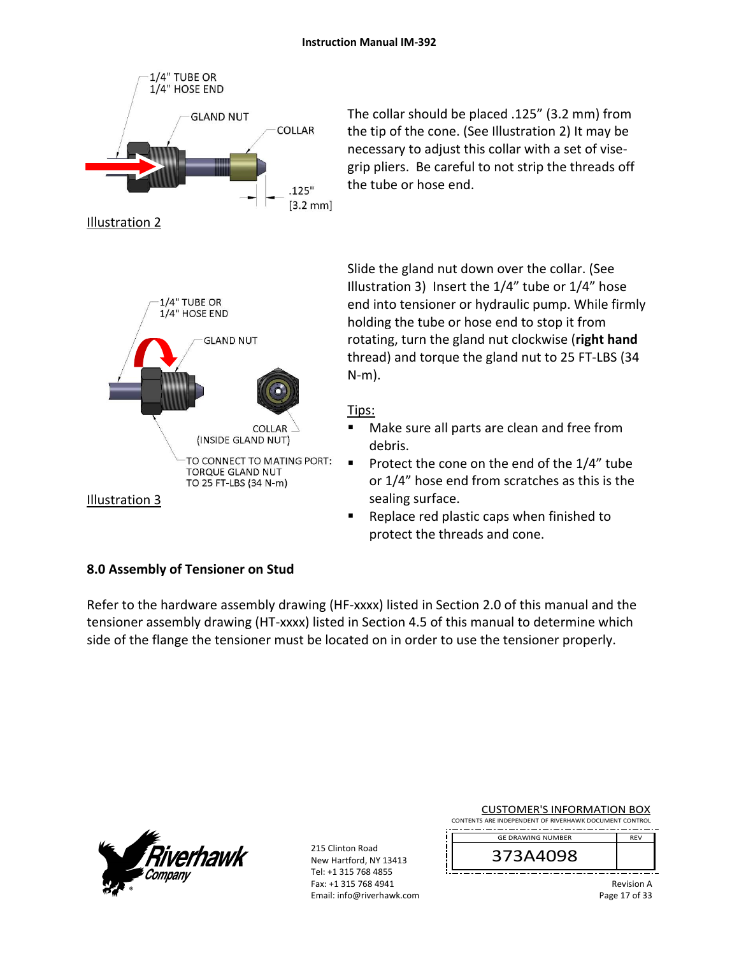

The collar should be placed .125" (3.2 mm) from the tip of the cone. (See Illustration 2) It may be necessary to adjust this collar with a set of vise‐ grip pliers. Be careful to not strip the threads off the tube or hose end.

Slide the gland nut down over the collar. (See Illustration 3) Insert the 1/4" tube or 1/4" hose end into tensioner or hydraulic pump. While firmly holding the tube or hose end to stop it from rotating, turn the gland nut clockwise (**right hand** thread) and torque the gland nut to 25 FT‐LBS (34 N‐m).

## Tips:

- Make sure all parts are clean and free from debris.
- Protect the cone on the end of the  $1/4$ " tube or 1/4" hose end from scratches as this is the sealing surface.
- **Replace red plastic caps when finished to** protect the threads and cone.

# **8.0 Assembly of Tensioner on Stud**

Refer to the hardware assembly drawing (HF-xxxx) listed in Section 2.0 of this manual and the tensioner assembly drawing (HT‐xxxx) listed in Section 4.5 of this manual to determine which side of the flange the tensioner must be located on in order to use the tensioner properly.



215 Clinton Road New Hartford, NY 13413 Tel: +1 315 768 4855 Fax: +1 315 768 4941 Email: info@riverhawk.com

| <b>CUSTOMER'S INFORMATION BOX</b>                      |  |  |
|--------------------------------------------------------|--|--|
| CONTENTS ARE INDEPENDENT OF RIVERHAWK DOCUMENT CONTROL |  |  |

REV GE DRAWING NUMBER

373A4098

Revision A Page 17 of 33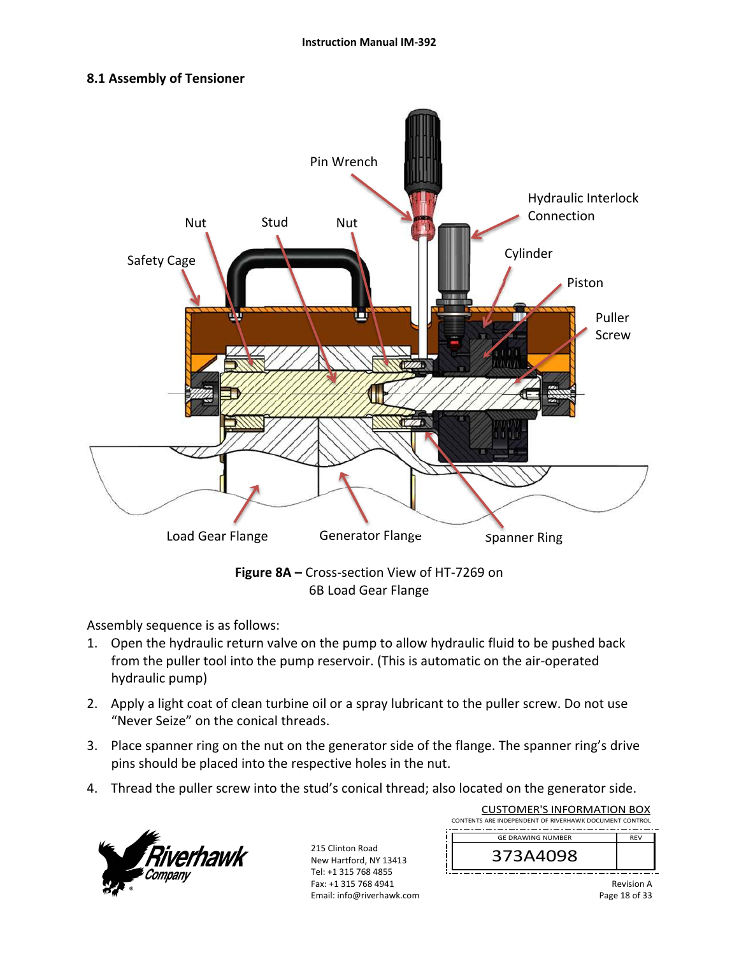## **8.1 Assembly of Tensioner**



6B Load Gear Flange

Assembly sequence is as follows:

- 1. Open the hydraulic return valve on the pump to allow hydraulic fluid to be pushed back from the puller tool into the pump reservoir. (This is automatic on the air‐operated hydraulic pump)
- 2. Apply a light coat of clean turbine oil or a spray lubricant to the puller screw. Do not use "Never Seize" on the conical threads.
- 3. Place spanner ring on the nut on the generator side of the flange. The spanner ring's drive pins should be placed into the respective holes in the nut.
- 4. Thread the puller screw into the stud's conical thread; also located on the generator side.



215 Clinton Road New Hartford, NY 13413 Tel: +1 315 768 4855 Fax: +1 315 768 4941 Email: info@riverhawk.com

| CUSTOMER'S INFORMATION BOX                             |            |  |  |
|--------------------------------------------------------|------------|--|--|
| CONTENTS ARE INDEPENDENT OF RIVERHAWK DOCUMENT CONTROL |            |  |  |
| <b>GE DRAWING NUMBER</b>                               | <b>RFV</b> |  |  |
| 373A4098                                               |            |  |  |
|                                                        |            |  |  |

 $\overline{C}$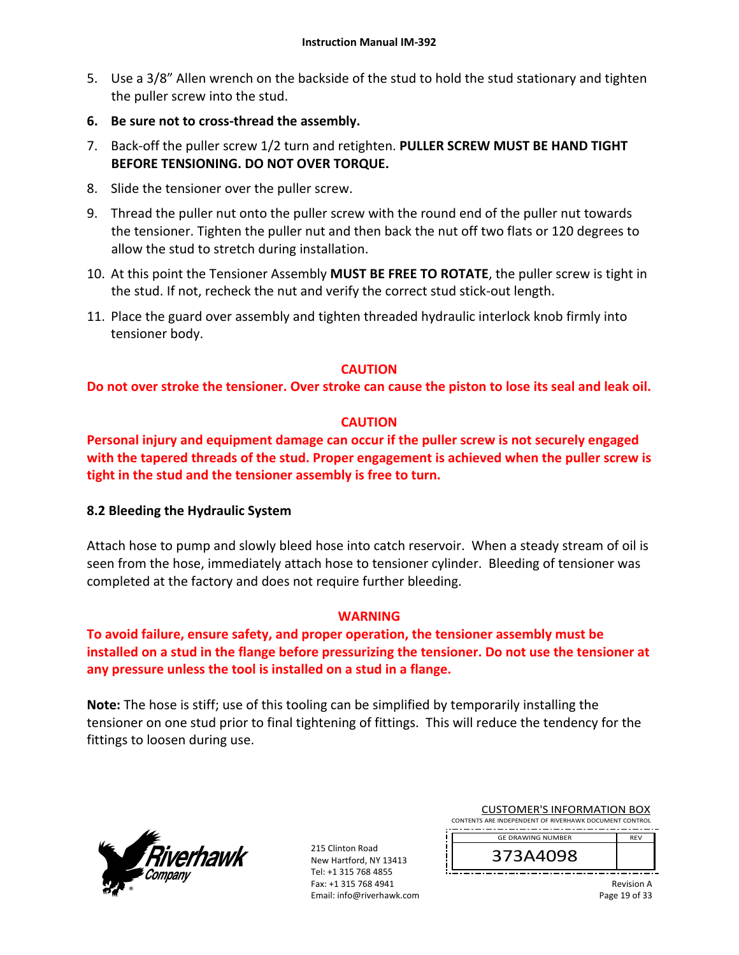- 5. Use a 3/8" Allen wrench on the backside of the stud to hold the stud stationary and tighten the puller screw into the stud.
- **6. Be sure not to cross‐thread the assembly.**
- 7. Back‐off the puller screw 1/2 turn and retighten. **PULLER SCREW MUST BE HAND TIGHT BEFORE TENSIONING. DO NOT OVER TORQUE.**
- 8. Slide the tensioner over the puller screw.
- 9. Thread the puller nut onto the puller screw with the round end of the puller nut towards the tensioner. Tighten the puller nut and then back the nut off two flats or 120 degrees to allow the stud to stretch during installation.
- 10. At this point the Tensioner Assembly **MUST BE FREE TO ROTATE**, the puller screw is tight in the stud. If not, recheck the nut and verify the correct stud stick‐out length.
- 11. Place the guard over assembly and tighten threaded hydraulic interlock knob firmly into tensioner body.

## **CAUTION**

## **Do not over stroke the tensioner. Over stroke can cause the piston to lose its seal and leak oil.**

## **CAUTION**

**Personal injury and equipment damage can occur if the puller screw is not securely engaged with the tapered threads of the stud. Proper engagement is achieved when the puller screw is tight in the stud and the tensioner assembly is free to turn.** 

## **8.2 Bleeding the Hydraulic System**

Attach hose to pump and slowly bleed hose into catch reservoir. When a steady stream of oil is seen from the hose, immediately attach hose to tensioner cylinder. Bleeding of tensioner was completed at the factory and does not require further bleeding.

## **WARNING**

**To avoid failure, ensure safety, and proper operation, the tensioner assembly must be installed on a stud in the flange before pressurizing the tensioner. Do not use the tensioner at any pressure unless the tool is installed on a stud in a flange.** 

**Note:** The hose is stiff; use of this tooling can be simplified by temporarily installing the tensioner on one stud prior to final tightening of fittings. This will reduce the tendency for the fittings to loosen during use.



215 Clinton Road New Hartford, NY 13413 Tel: +1 315 768 4855 Fax: +1 315 768 4941 Email: info@riverhawk.com

| <b>CUSTOMER'S INFORMATION BOX</b>                      |            |
|--------------------------------------------------------|------------|
| CONTENTS ARE INDEPENDENT OF RIVERHAWK DOCUMENT CONTROL |            |
|                                                        |            |
| <b>GE DRAWING NUMBER</b>                               | <b>RFV</b> |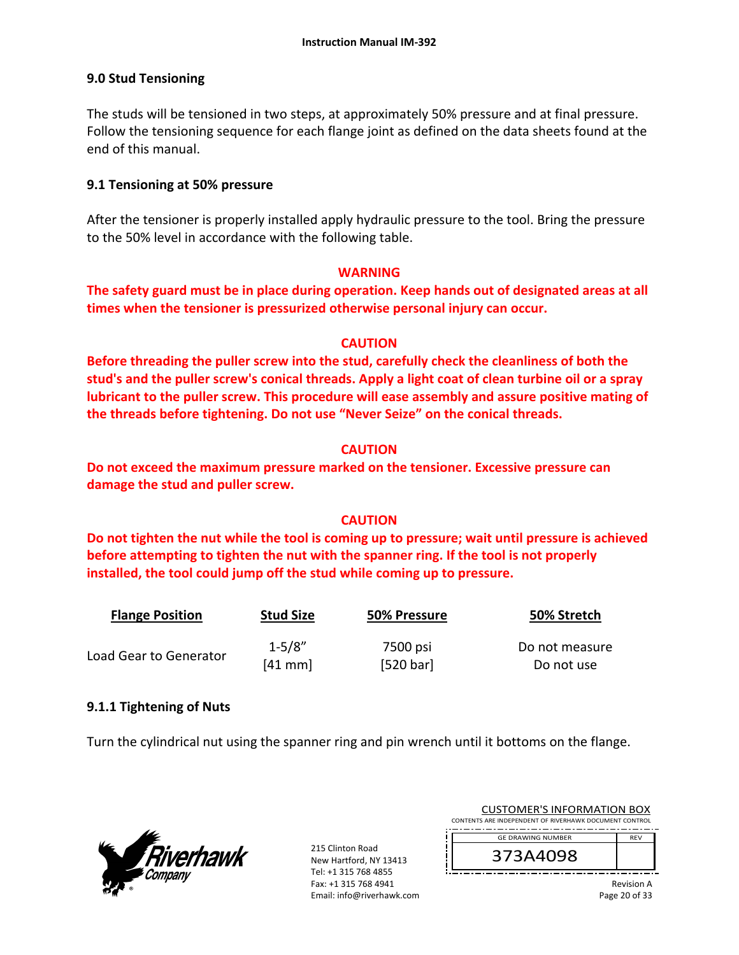## **9.0 Stud Tensioning**

The studs will be tensioned in two steps, at approximately 50% pressure and at final pressure. Follow the tensioning sequence for each flange joint as defined on the data sheets found at the end of this manual.

## **9.1 Tensioning at 50% pressure**

After the tensioner is properly installed apply hydraulic pressure to the tool. Bring the pressure to the 50% level in accordance with the following table.

### **WARNING**

**The safety guard must be in place during operation. Keep hands out of designated areas at all times when the tensioner is pressurized otherwise personal injury can occur.** 

## **CAUTION**

**Before threading the puller screw into the stud, carefully check the cleanliness of both the stud's and the puller screw's conical threads. Apply a light coat of clean turbine oil or a spray lubricant to the puller screw. This procedure will ease assembly and assure positive mating of the threads before tightening. Do not use "Never Seize" on the conical threads.** 

## **CAUTION**

**Do not exceed the maximum pressure marked on the tensioner. Excessive pressure can damage the stud and puller screw.** 

## **CAUTION**

**Do not tighten the nut while the tool is coming up to pressure; wait until pressure is achieved before attempting to tighten the nut with the spanner ring. If the tool is not properly installed, the tool could jump off the stud while coming up to pressure.** 

| <b>Flange Position</b> | <b>Stud Size</b> | 50% Pressure | 50% Stretch    |
|------------------------|------------------|--------------|----------------|
|                        | $1 - 5/8"$       | 7500 psi     | Do not measure |
| Load Gear to Generator | $[41$ mm         | [520 bar]    | Do not use     |

## **9.1.1 Tightening of Nuts**

Turn the cylindrical nut using the spanner ring and pin wrench until it bottoms on the flange.



215 Clinton Road New Hartford, NY 13413 Tel: +1 315 768 4855 Fax: +1 315 768 4941 Email: info@riverhawk.com

| <b>GE DRAWING NUMBER</b>                               | <b>RFV</b> |
|--------------------------------------------------------|------------|
| CONTENTS ARE INDEPENDENT OF RIVERHAWK DOCUMENT CONTROL |            |
| CUSTUMER S INFORMATION BUX                             |            |

CUCTOMER'S INFORMATION BOY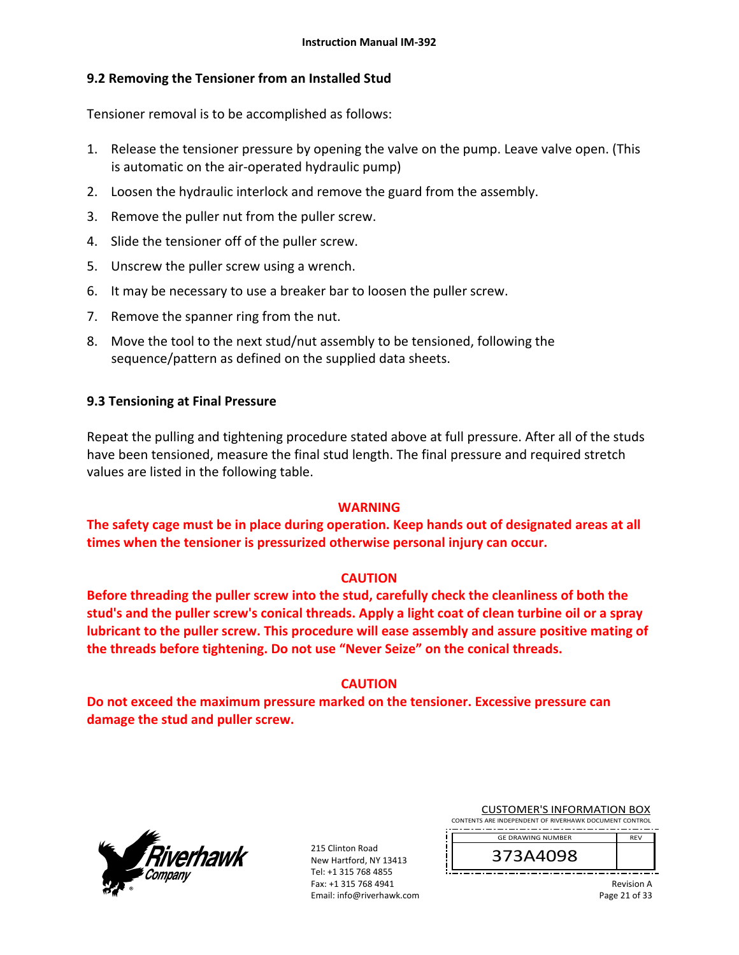## **9.2 Removing the Tensioner from an Installed Stud**

Tensioner removal is to be accomplished as follows:

- 1. Release the tensioner pressure by opening the valve on the pump. Leave valve open. (This is automatic on the air‐operated hydraulic pump)
- 2. Loosen the hydraulic interlock and remove the guard from the assembly.
- 3. Remove the puller nut from the puller screw.
- 4. Slide the tensioner off of the puller screw.
- 5. Unscrew the puller screw using a wrench.
- 6. It may be necessary to use a breaker bar to loosen the puller screw.
- 7. Remove the spanner ring from the nut.
- 8. Move the tool to the next stud/nut assembly to be tensioned, following the sequence/pattern as defined on the supplied data sheets.

## **9.3 Tensioning at Final Pressure**

Repeat the pulling and tightening procedure stated above at full pressure. After all of the studs have been tensioned, measure the final stud length. The final pressure and required stretch values are listed in the following table.

## **WARNING**

**The safety cage must be in place during operation. Keep hands out of designated areas at all times when the tensioner is pressurized otherwise personal injury can occur.** 

## **CAUTION**

**Before threading the puller screw into the stud, carefully check the cleanliness of both the stud's and the puller screw's conical threads. Apply a light coat of clean turbine oil or a spray lubricant to the puller screw. This procedure will ease assembly and assure positive mating of the threads before tightening. Do not use "Never Seize" on the conical threads.** 

## **CAUTION**

**Do not exceed the maximum pressure marked on the tensioner. Excessive pressure can damage the stud and puller screw.** 



215 Clinton Road New Hartford, NY 13413 Tel: +1 315 768 4855 Fax: +1 315 768 4941 Email: info@riverhawk.com

CUSTOMER'S INFORMATION BOX CONTENTS ARE INDEPENDENT OF RIVERHAWK DOCUMENT CONTROL

----------------GE DRAWING NUMBER REV

373A4098

Revision A Page 21 of 33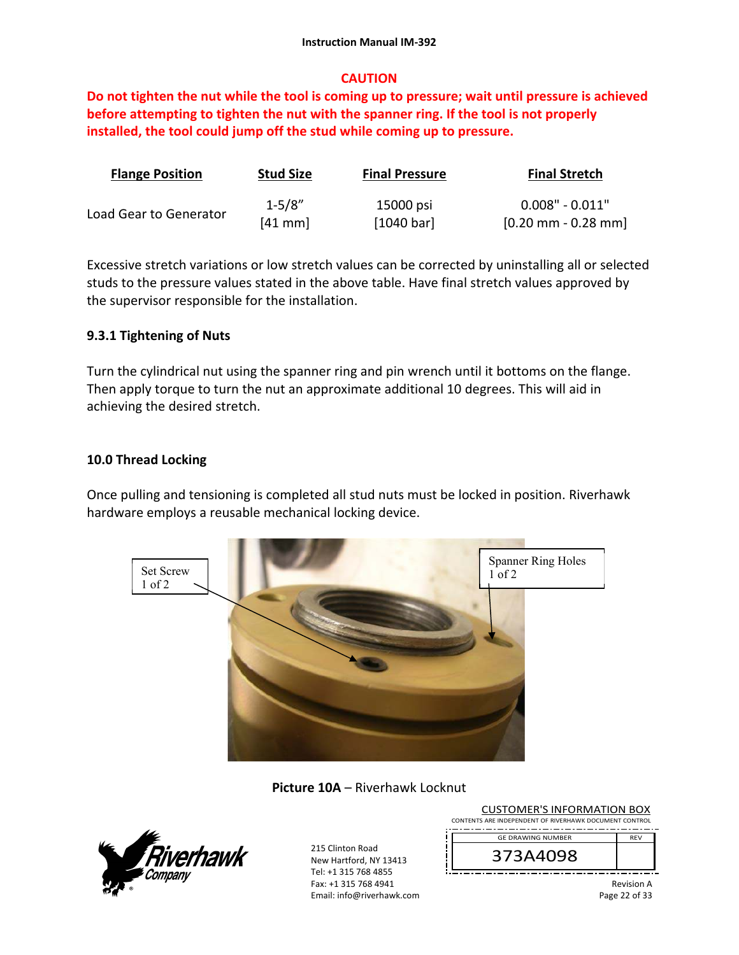## **CAUTION**

**Do not tighten the nut while the tool is coming up to pressure; wait until pressure is achieved before attempting to tighten the nut with the spanner ring. If the tool is not properly installed, the tool could jump off the stud while coming up to pressure.** 

| <b>Flange Position</b> | <b>Stud Size</b> | <b>Final Pressure</b> | <b>Final Stretch</b>                  |
|------------------------|------------------|-----------------------|---------------------------------------|
|                        | $1 - 5/8"$       | 15000 psi             | $0.008"$ - $0.011"$                   |
| Load Gear to Generator | $[41$ mm         | [1040 bar]            | $[0.20 \text{ mm} - 0.28 \text{ mm}]$ |

Excessive stretch variations or low stretch values can be corrected by uninstalling all or selected studs to the pressure values stated in the above table. Have final stretch values approved by the supervisor responsible for the installation.

## **9.3.1 Tightening of Nuts**

Turn the cylindrical nut using the spanner ring and pin wrench until it bottoms on the flange. Then apply torque to turn the nut an approximate additional 10 degrees. This will aid in achieving the desired stretch.

## **10.0 Thread Locking**

Once pulling and tensioning is completed all stud nuts must be locked in position. Riverhawk hardware employs a reusable mechanical locking device.



**Picture 10A** – Riverhawk Locknut



215 Clinton Road New Hartford, NY 13413 Tel: +1 315 768 4855 Fax: +1 315 768 4941 Email: info@riverhawk.com

CUSTOMER'S INFORMATION BOX CONTENTS ARE INDEPENDENT OF RIVERHAWK DOCUMENT CONTROL ---------------REV

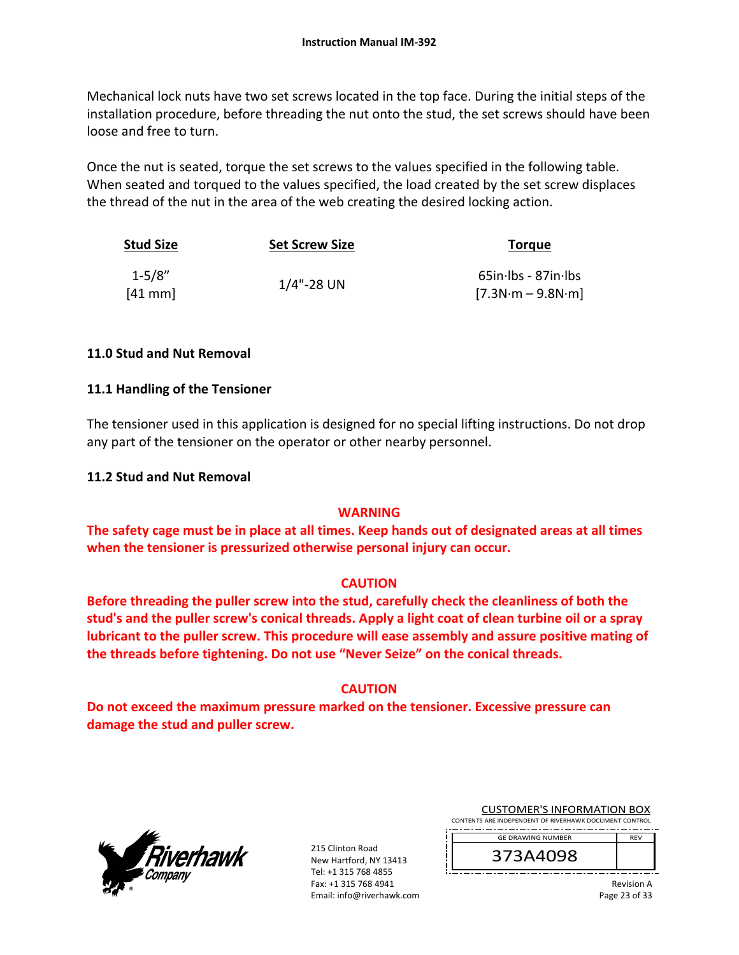Mechanical lock nuts have two set screws located in the top face. During the initial steps of the installation procedure, before threading the nut onto the stud, the set screws should have been loose and free to turn.

Once the nut is seated, torque the set screws to the values specified in the following table. When seated and torqued to the values specified, the load created by the set screw displaces the thread of the nut in the area of the web creating the desired locking action.

| <b>Stud Size</b>       | <b>Set Screw Size</b> | <b>Torgue</b>                                 |
|------------------------|-----------------------|-----------------------------------------------|
| $1 - 5/8"$<br>$[41$ mm | $1/4$ "-28 UN         | $65$ in·lbs - 87in·lbs<br>$[7.3N·m - 9.8N·m]$ |

## **11.0 Stud and Nut Removal**

## **11.1 Handling of the Tensioner**

The tensioner used in this application is designed for no special lifting instructions. Do not drop any part of the tensioner on the operator or other nearby personnel.

### **11.2 Stud and Nut Removal**

## **WARNING**

**The safety cage must be in place at all times. Keep hands out of designated areas at all times when the tensioner is pressurized otherwise personal injury can occur.** 

## **CAUTION**

**Before threading the puller screw into the stud, carefully check the cleanliness of both the stud's and the puller screw's conical threads. Apply a light coat of clean turbine oil or a spray lubricant to the puller screw. This procedure will ease assembly and assure positive mating of the threads before tightening. Do not use "Never Seize" on the conical threads.** 

## **CAUTION**

**Do not exceed the maximum pressure marked on the tensioner. Excessive pressure can damage the stud and puller screw.** 



215 Clinton Road New Hartford, NY 13413 Tel: +1 315 768 4855 Fax: +1 315 768 4941 Email: info@riverhawk.com

CUSTOMER'S INFORMATION BOX CONTENTS ARE INDEPENDENT OF RIVERHAWK DOCUMENT CONTROL

----------------GE DRAWING NUMBER REV

373A4098

Revision A Page 23 of 33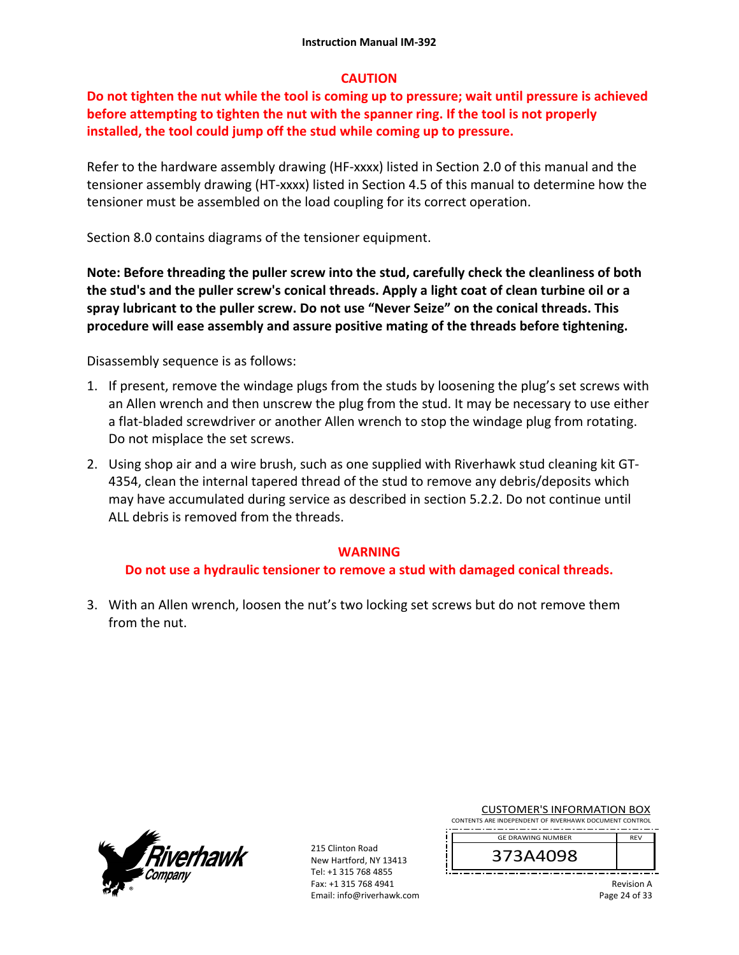## **CAUTION**

# **Do not tighten the nut while the tool is coming up to pressure; wait until pressure is achieved before attempting to tighten the nut with the spanner ring. If the tool is not properly installed, the tool could jump off the stud while coming up to pressure.**

Refer to the hardware assembly drawing (HF-xxxx) listed in Section 2.0 of this manual and the tensioner assembly drawing (HT‐xxxx) listed in Section 4.5 of this manual to determine how the tensioner must be assembled on the load coupling for its correct operation.

Section 8.0 contains diagrams of the tensioner equipment.

**Note: Before threading the puller screw into the stud, carefully check the cleanliness of both the stud's and the puller screw's conical threads. Apply a light coat of clean turbine oil or a spray lubricant to the puller screw. Do not use "Never Seize" on the conical threads. This procedure will ease assembly and assure positive mating of the threads before tightening.** 

Disassembly sequence is as follows:

- 1. If present, remove the windage plugs from the studs by loosening the plug's set screws with an Allen wrench and then unscrew the plug from the stud. It may be necessary to use either a flat‐bladed screwdriver or another Allen wrench to stop the windage plug from rotating. Do not misplace the set screws.
- 2. Using shop air and a wire brush, such as one supplied with Riverhawk stud cleaning kit GT‐ 4354, clean the internal tapered thread of the stud to remove any debris/deposits which may have accumulated during service as described in section 5.2.2. Do not continue until ALL debris is removed from the threads.

## **WARNING**

## **Do not use a hydraulic tensioner to remove a stud with damaged conical threads.**

3. With an Allen wrench, loosen the nut's two locking set screws but do not remove them from the nut.



215 Clinton Road New Hartford, NY 13413 Tel: +1 315 768 4855 Fax: +1 315 768 4941 Email: info@riverhawk.com CUSTOMER'S INFORMATION BOX

CONTENTS ARE INDEPENDENT OF RIVERHAWK DOCUMENT CONTROL ----------------GE DRAWING NUMBER REV

373A4098

Revision A Page 24 of 33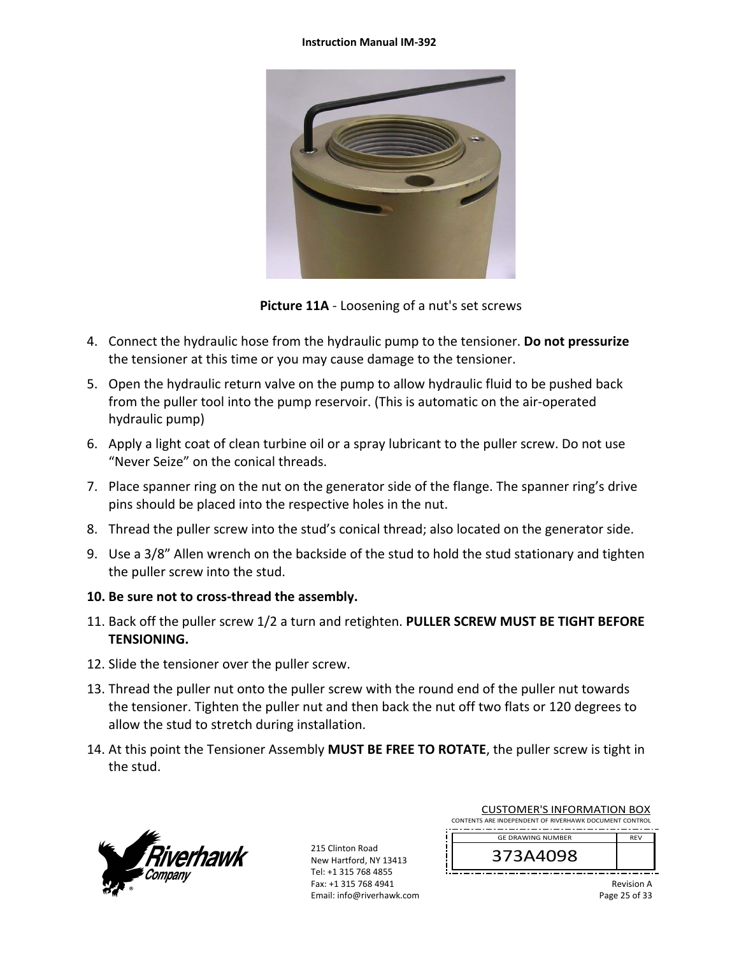#### **Instruction Manual IM‐392**



**Picture 11A** ‐ Loosening of a nut's set screws

- 4. Connect the hydraulic hose from the hydraulic pump to the tensioner. **Do not pressurize** the tensioner at this time or you may cause damage to the tensioner.
- 5. Open the hydraulic return valve on the pump to allow hydraulic fluid to be pushed back from the puller tool into the pump reservoir. (This is automatic on the air‐operated hydraulic pump)
- 6. Apply a light coat of clean turbine oil or a spray lubricant to the puller screw. Do not use "Never Seize" on the conical threads.
- 7. Place spanner ring on the nut on the generator side of the flange. The spanner ring's drive pins should be placed into the respective holes in the nut.
- 8. Thread the puller screw into the stud's conical thread; also located on the generator side.
- 9. Use a 3/8" Allen wrench on the backside of the stud to hold the stud stationary and tighten the puller screw into the stud.
- **10. Be sure not to cross‐thread the assembly.**
- 11. Back off the puller screw 1/2 a turn and retighten. **PULLER SCREW MUST BE TIGHT BEFORE TENSIONING.**
- 12. Slide the tensioner over the puller screw.
- 13. Thread the puller nut onto the puller screw with the round end of the puller nut towards the tensioner. Tighten the puller nut and then back the nut off two flats or 120 degrees to allow the stud to stretch during installation.
- 14. At this point the Tensioner Assembly **MUST BE FREE TO ROTATE**, the puller screw is tight in the stud.



215 Clinton Road New Hartford, NY 13413 Tel: +1 315 768 4855 Fax: +1 315 768 4941 Email: info@riverhawk.com

| <b>CUSTOMER'S INFORMATION BOX</b>                      |  |
|--------------------------------------------------------|--|
| CONTENTS ARE INDEPENDENT OF RIVERHAWK DOCUMENT CONTROL |  |
| <b>GE DRAWING NUMBER</b>                               |  |
|                                                        |  |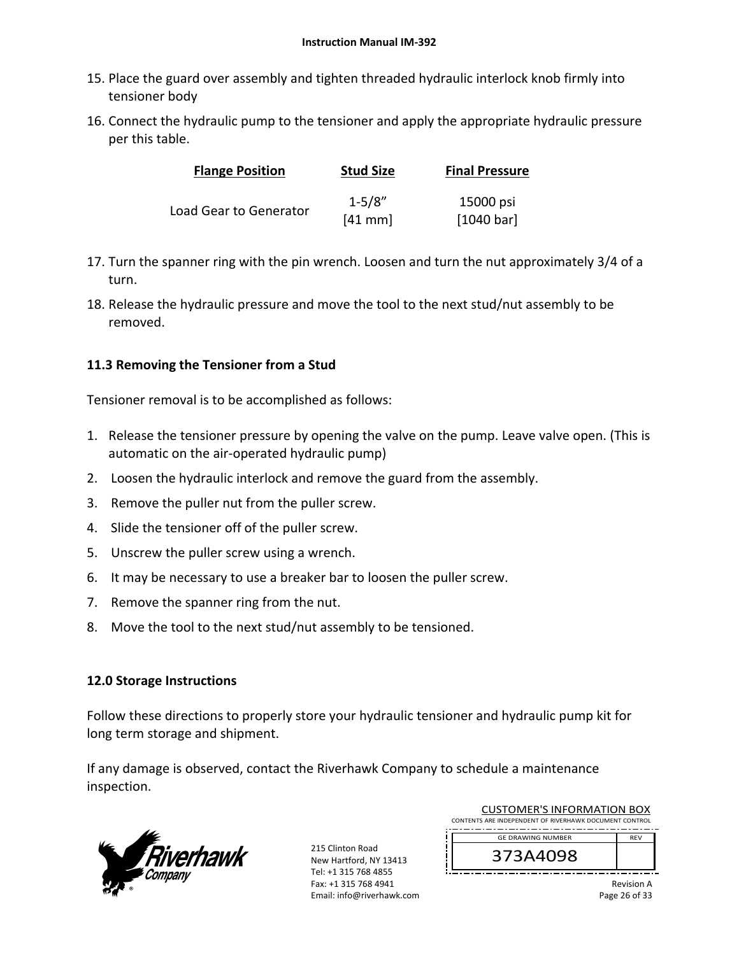- 15. Place the guard over assembly and tighten threaded hydraulic interlock knob firmly into tensioner body
- 16. Connect the hydraulic pump to the tensioner and apply the appropriate hydraulic pressure per this table.

| <b>Flange Position</b> | <b>Stud Size</b> | <b>Final Pressure</b> |
|------------------------|------------------|-----------------------|
|                        | $1 - 5/8"$       | 15000 psi             |
| Load Gear to Generator | $[41$ mm         | [1040 bar]            |

- 17. Turn the spanner ring with the pin wrench. Loosen and turn the nut approximately 3/4 of a turn.
- 18. Release the hydraulic pressure and move the tool to the next stud/nut assembly to be removed.

## **11.3 Removing the Tensioner from a Stud**

Tensioner removal is to be accomplished as follows:

- 1. Release the tensioner pressure by opening the valve on the pump. Leave valve open. (This is automatic on the air‐operated hydraulic pump)
- 2. Loosen the hydraulic interlock and remove the guard from the assembly.
- 3. Remove the puller nut from the puller screw.
- 4. Slide the tensioner off of the puller screw.
- 5. Unscrew the puller screw using a wrench.
- 6. It may be necessary to use a breaker bar to loosen the puller screw.
- 7. Remove the spanner ring from the nut.
- 8. Move the tool to the next stud/nut assembly to be tensioned.

## **12.0 Storage Instructions**

Follow these directions to properly store your hydraulic tensioner and hydraulic pump kit for long term storage and shipment.

If any damage is observed, contact the Riverhawk Company to schedule a maintenance inspection.



215 Clinton Road New Hartford, NY 13413 Tel: +1 315 768 4855 Fax: +1 315 768 4941 Email: info@riverhawk.com

| CUSTUIVIER S INFORMATION BOA                           |  |  |  |
|--------------------------------------------------------|--|--|--|
| CONTENTS ARE INDEPENDENT OF RIVERHAWK DOCUMENT CONTROL |  |  |  |
| <b>GF DRAWING NUMBER</b>                               |  |  |  |
|                                                        |  |  |  |

CUCTOMER'S INFORMATION BOY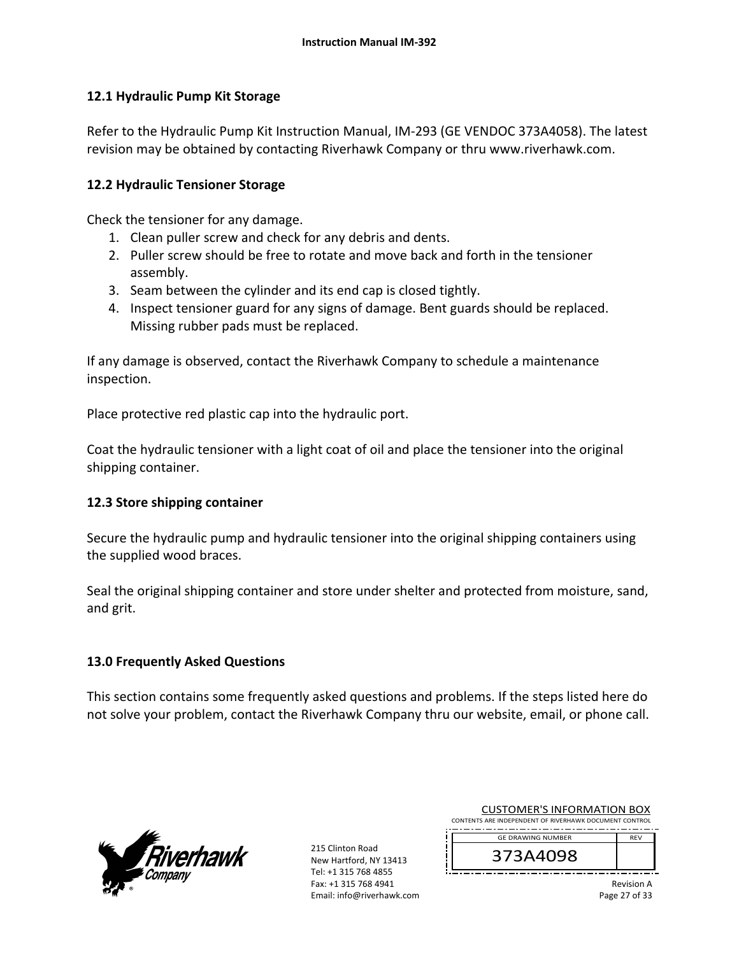## **12.1 Hydraulic Pump Kit Storage**

Refer to the Hydraulic Pump Kit Instruction Manual, IM‐293 (GE VENDOC 373A4058). The latest revision may be obtained by contacting Riverhawk Company or thru www.riverhawk.com.

### **12.2 Hydraulic Tensioner Storage**

Check the tensioner for any damage.

- 1. Clean puller screw and check for any debris and dents.
- 2. Puller screw should be free to rotate and move back and forth in the tensioner assembly.
- 3. Seam between the cylinder and its end cap is closed tightly.
- 4. Inspect tensioner guard for any signs of damage. Bent guards should be replaced. Missing rubber pads must be replaced.

If any damage is observed, contact the Riverhawk Company to schedule a maintenance inspection.

Place protective red plastic cap into the hydraulic port.

Coat the hydraulic tensioner with a light coat of oil and place the tensioner into the original shipping container.

## **12.3 Store shipping container**

Secure the hydraulic pump and hydraulic tensioner into the original shipping containers using the supplied wood braces.

Seal the original shipping container and store under shelter and protected from moisture, sand, and grit.

## **13.0 Frequently Asked Questions**

This section contains some frequently asked questions and problems. If the steps listed here do not solve your problem, contact the Riverhawk Company thru our website, email, or phone call.



215 Clinton Road New Hartford, NY 13413 Tel: +1 315 768 4855 Fax: +1 315 768 4941 Email: info@riverhawk.com

| <b>CUSTOMER'S INFORMATION BOX</b>                      |            |
|--------------------------------------------------------|------------|
| CONTENTS ARE INDEPENDENT OF RIVERHAWK DOCUMENT CONTROL |            |
|                                                        |            |
| <b>GF DRAWING NUMBER</b>                               | <b>REV</b> |

373A4098

Revision A Page 27 of 33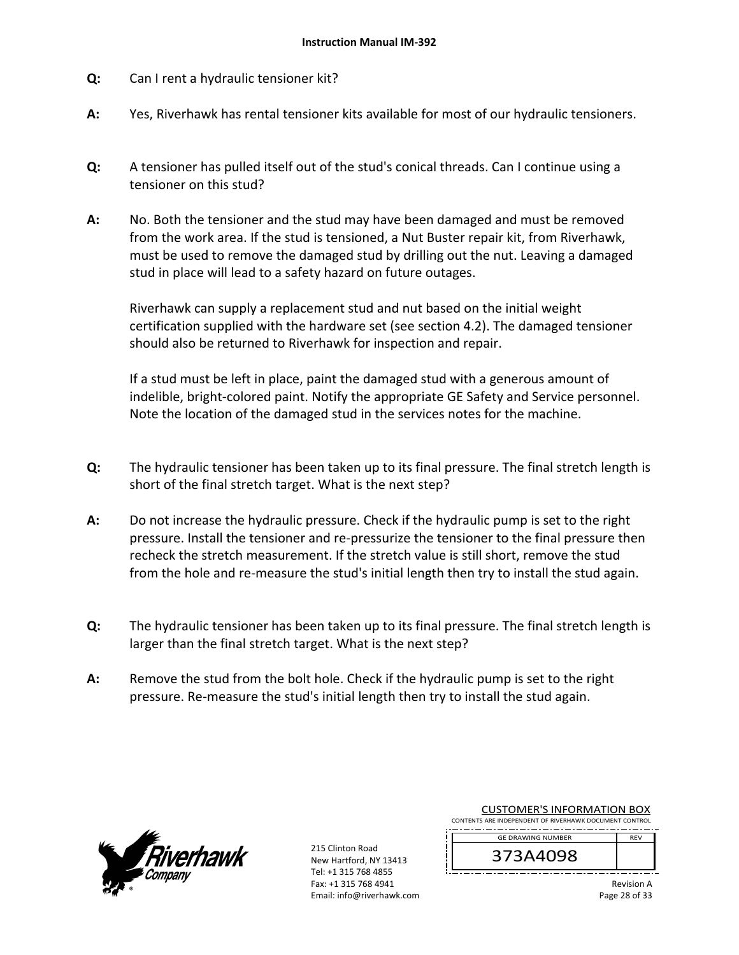- **Q:**  Can I rent a hydraulic tensioner kit?
- **A:**  Yes, Riverhawk has rental tensioner kits available for most of our hydraulic tensioners.
- **Q:**  A tensioner has pulled itself out of the stud's conical threads. Can I continue using a tensioner on this stud?
- **A:**  No. Both the tensioner and the stud may have been damaged and must be removed from the work area. If the stud is tensioned, a Nut Buster repair kit, from Riverhawk, must be used to remove the damaged stud by drilling out the nut. Leaving a damaged stud in place will lead to a safety hazard on future outages.

Riverhawk can supply a replacement stud and nut based on the initial weight certification supplied with the hardware set (see section 4.2). The damaged tensioner should also be returned to Riverhawk for inspection and repair.

If a stud must be left in place, paint the damaged stud with a generous amount of indelible, bright‐colored paint. Notify the appropriate GE Safety and Service personnel. Note the location of the damaged stud in the services notes for the machine.

- **Q:**  The hydraulic tensioner has been taken up to its final pressure. The final stretch length is short of the final stretch target. What is the next step?
- **A:**  Do not increase the hydraulic pressure. Check if the hydraulic pump is set to the right pressure. Install the tensioner and re‐pressurize the tensioner to the final pressure then recheck the stretch measurement. If the stretch value is still short, remove the stud from the hole and re-measure the stud's initial length then try to install the stud again.
- **Q:**  The hydraulic tensioner has been taken up to its final pressure. The final stretch length is larger than the final stretch target. What is the next step?
- **A:**  Remove the stud from the bolt hole. Check if the hydraulic pump is set to the right pressure. Re‐measure the stud's initial length then try to install the stud again.



215 Clinton Road New Hartford, NY 13413 Tel: +1 315 768 4855 Fax: +1 315 768 4941 Email: info@riverhawk.com

| <b>CUSTOMER'S INFORMATION BOX</b>                      |            |  |  |
|--------------------------------------------------------|------------|--|--|
| CONTENTS ARE INDEPENDENT OF RIVERHAWK DOCUMENT CONTROL |            |  |  |
| <b>GE DRAWING NUMBER</b>                               | <b>RFV</b> |  |  |
|                                                        |            |  |  |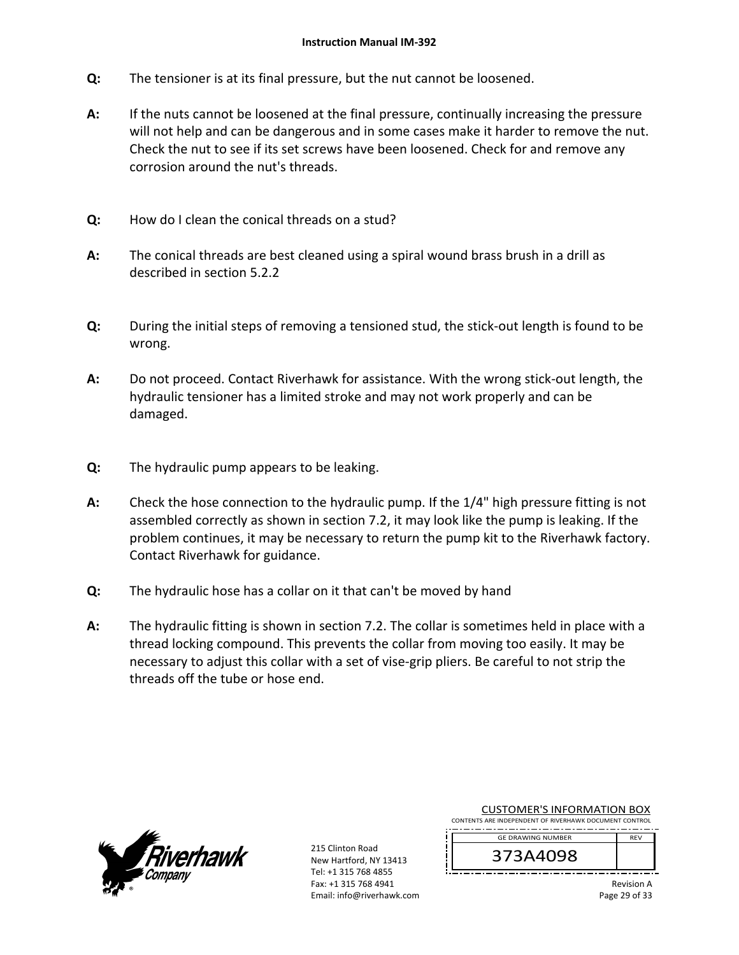- **Q:**  The tensioner is at its final pressure, but the nut cannot be loosened.
- **A:**  If the nuts cannot be loosened at the final pressure, continually increasing the pressure will not help and can be dangerous and in some cases make it harder to remove the nut. Check the nut to see if its set screws have been loosened. Check for and remove any corrosion around the nut's threads.
- **Q:**  How do I clean the conical threads on a stud?
- **A:**  The conical threads are best cleaned using a spiral wound brass brush in a drill as described in section 5.2.2
- **Q:**  During the initial steps of removing a tensioned stud, the stick‐out length is found to be wrong.
- **A:**  Do not proceed. Contact Riverhawk for assistance. With the wrong stick‐out length, the hydraulic tensioner has a limited stroke and may not work properly and can be damaged.
- **Q:**  The hydraulic pump appears to be leaking.
- **A:**  Check the hose connection to the hydraulic pump. If the 1/4" high pressure fitting is not assembled correctly as shown in section 7.2, it may look like the pump is leaking. If the problem continues, it may be necessary to return the pump kit to the Riverhawk factory. Contact Riverhawk for guidance.
- **Q:**  The hydraulic hose has a collar on it that can't be moved by hand
- **A:**  The hydraulic fitting is shown in section 7.2. The collar is sometimes held in place with a thread locking compound. This prevents the collar from moving too easily. It may be necessary to adjust this collar with a set of vise‐grip pliers. Be careful to not strip the threads off the tube or hose end.



215 Clinton Road New Hartford, NY 13413 Tel: +1 315 768 4855 Fax: +1 315 768 4941 Email: info@riverhawk.com

| <b>CUSTOMER'S INFORMATION BOX</b>                      |            |
|--------------------------------------------------------|------------|
| CONTENTS ARE INDEPENDENT OF RIVERHAWK DOCUMENT CONTROL |            |
|                                                        |            |
| <b>GE DRAWING NUMBER</b>                               | <b>RFV</b> |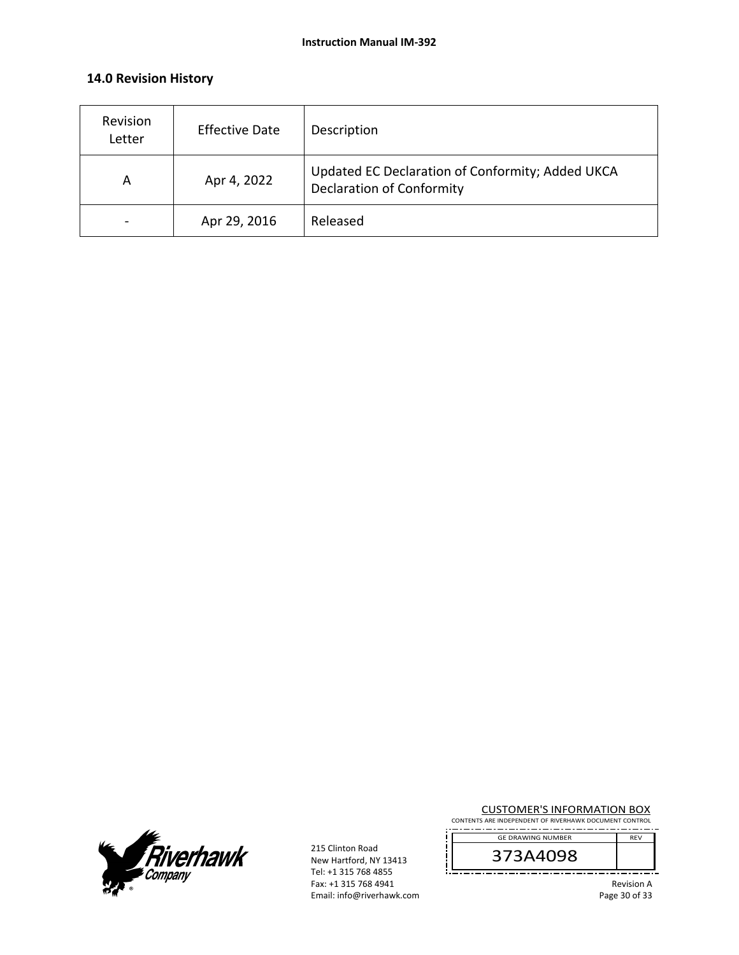## **14.0 Revision History**

| Revision<br>Letter | <b>Effective Date</b> | Description                                                                          |
|--------------------|-----------------------|--------------------------------------------------------------------------------------|
| A                  | Apr 4, 2022           | Updated EC Declaration of Conformity; Added UKCA<br><b>Declaration of Conformity</b> |
|                    | Apr 29, 2016          | Released                                                                             |



215 Clinton Road New Hartford, NY 13413 Tel: +1 315 768 4855 Fax: +1 315 768 4941 Email: info@riverhawk.com CUSTOMER'S INFORMATION BOX

CONTENTS ARE INDEPENDENT OF RIVERHAWK DOCUMENT CONTROL GE DRAWING NUMBER -----REV

373A4098

. <u>. . . . . . . . . . .</u> .

Revision A Page 30 of 33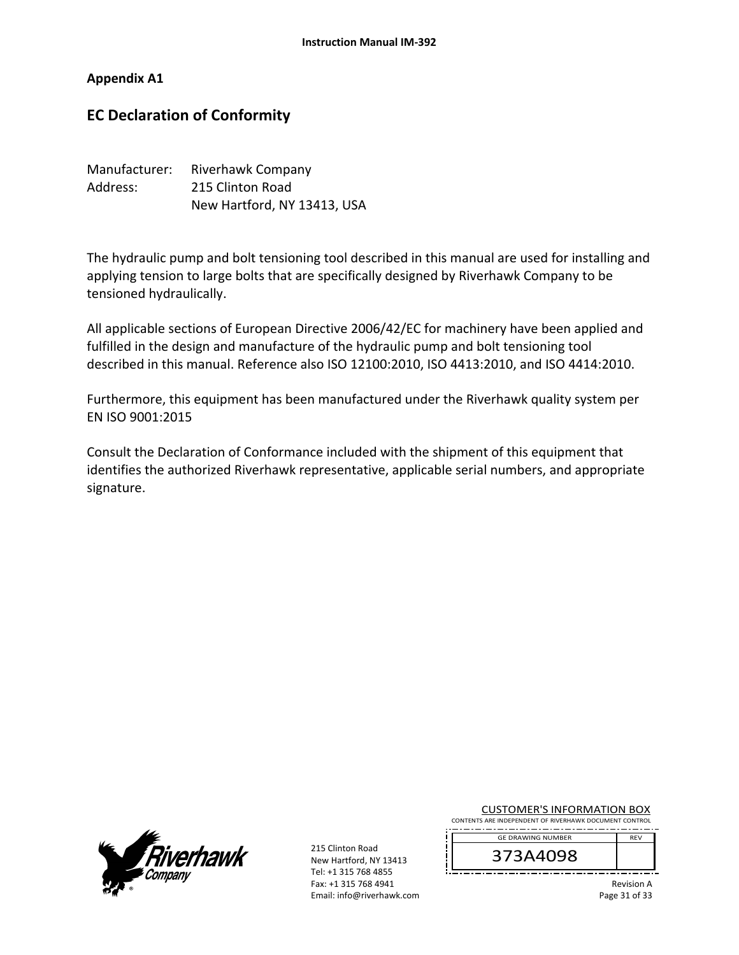### **Appendix A1**

# **EC Declaration of Conformity**

| Manufacturer: | Riverhawk Company           |
|---------------|-----------------------------|
| Address:      | 215 Clinton Road            |
|               | New Hartford, NY 13413, USA |

The hydraulic pump and bolt tensioning tool described in this manual are used for installing and applying tension to large bolts that are specifically designed by Riverhawk Company to be tensioned hydraulically.

All applicable sections of European Directive 2006/42/EC for machinery have been applied and fulfilled in the design and manufacture of the hydraulic pump and bolt tensioning tool described in this manual. Reference also ISO 12100:2010, ISO 4413:2010, and ISO 4414:2010.

Furthermore, this equipment has been manufactured under the Riverhawk quality system per EN ISO 9001:2015

Consult the Declaration of Conformance included with the shipment of this equipment that identifies the authorized Riverhawk representative, applicable serial numbers, and appropriate signature.



215 Clinton Road New Hartford, NY 13413 Tel: +1 315 768 4855 Fax: +1 315 768 4941 Email: info@riverhawk.com CUSTOMER'S INFORMATION BOX

CONTENTS ARE INDEPENDENT OF RIVERHAWK DOCUMENT CONTROL . **. . . . . . . . . . . . . . . . .** . . GE DRAWING NUMBER

373A4098

Revision A Page 31 of 33

REV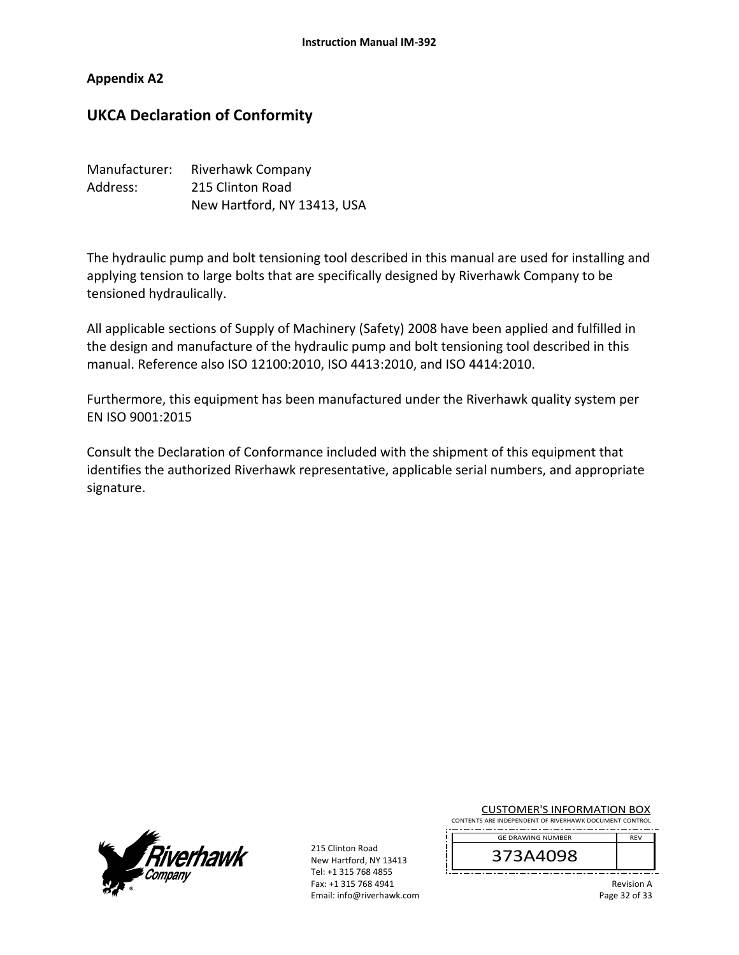### **Appendix A2**

# **UKCA Declaration of Conformity**

| Manufacturer: | <b>Riverhawk Company</b>    |
|---------------|-----------------------------|
| Address:      | 215 Clinton Road            |
|               | New Hartford, NY 13413, USA |

The hydraulic pump and bolt tensioning tool described in this manual are used for installing and applying tension to large bolts that are specifically designed by Riverhawk Company to be tensioned hydraulically.

All applicable sections of Supply of Machinery (Safety) 2008 have been applied and fulfilled in the design and manufacture of the hydraulic pump and bolt tensioning tool described in this manual. Reference also ISO 12100:2010, ISO 4413:2010, and ISO 4414:2010.

Furthermore, this equipment has been manufactured under the Riverhawk quality system per EN ISO 9001:2015

Consult the Declaration of Conformance included with the shipment of this equipment that identifies the authorized Riverhawk representative, applicable serial numbers, and appropriate signature.



215 Clinton Road New Hartford, NY 13413 Tel: +1 315 768 4855 Fax: +1 315 768 4941 Email: info@riverhawk.com CUSTOMER'S INFORMATION BOX

CONTENTS ARE INDEPENDENT OF RIVERHAWK DOCUMENT CONTROL . . . . . . . . . . . . . . . . . GE DRAWING NUMBER REV

373A4098

Revision A Page 32 of 33